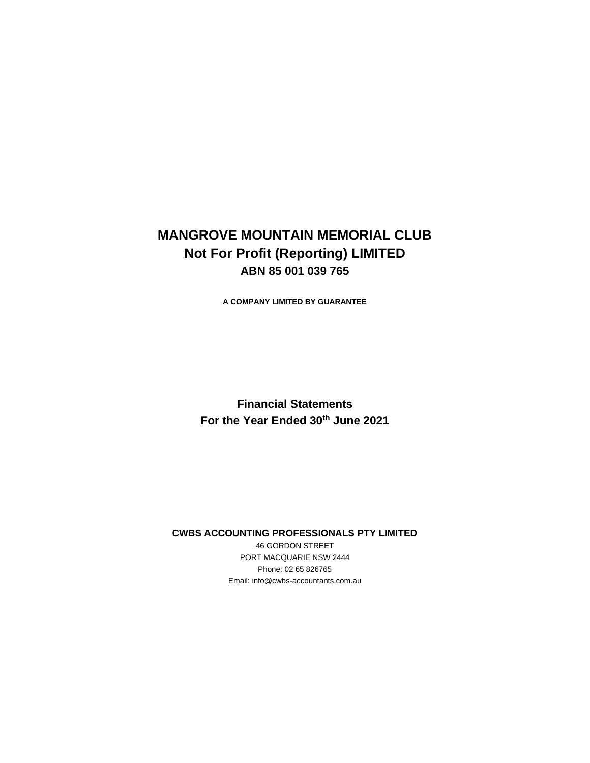**A COMPANY LIMITED BY GUARANTEE**

**Financial Statements For the Year Ended 30th June 2021**

**CWBS ACCOUNTING PROFESSIONALS PTY LIMITED**

46 GORDON STREET PORT MACQUARIE NSW 2444 Phone: 02 65 826765 Email: info@cwbs-accountants.com.au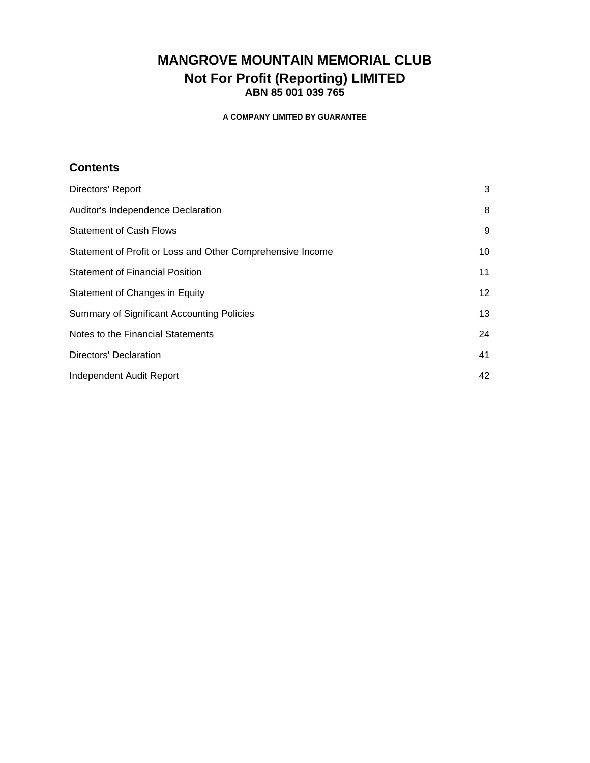**A COMPANY LIMITED BY GUARANTEE**

## **Contents**

| Directors' Report                                          | 3               |
|------------------------------------------------------------|-----------------|
| Auditor's Independence Declaration                         | 8               |
| <b>Statement of Cash Flows</b>                             | 9               |
| Statement of Profit or Loss and Other Comprehensive Income | 10              |
| <b>Statement of Financial Position</b>                     | 11              |
| Statement of Changes in Equity                             | 12 <sup>°</sup> |
| Summary of Significant Accounting Policies                 | 13              |
| Notes to the Financial Statements                          | 24              |
| Directors' Declaration                                     | 41              |
| Independent Audit Report                                   | 42              |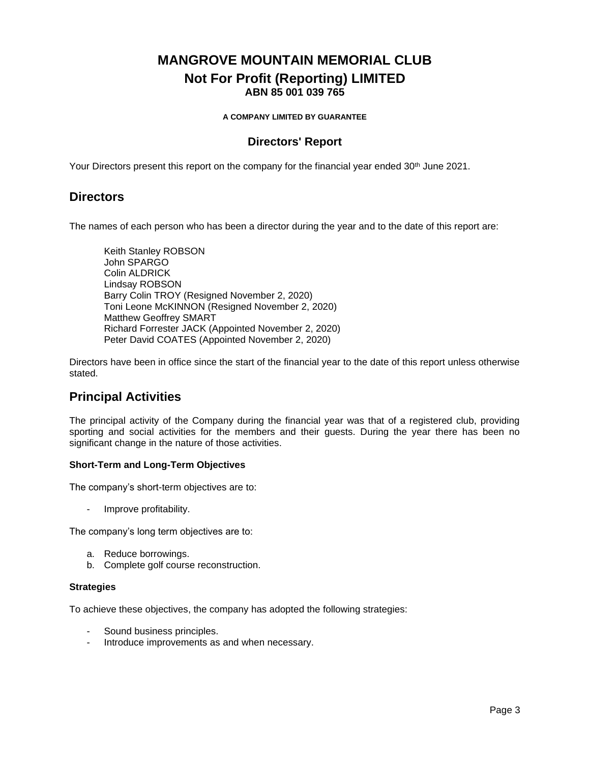#### **A COMPANY LIMITED BY GUARANTEE**

### **Directors' Report**

Your Directors present this report on the company for the financial year ended 30<sup>th</sup> June 2021.

### **Directors**

The names of each person who has been a director during the year and to the date of this report are:

Keith Stanley ROBSON John SPARGO Colin ALDRICK Lindsay ROBSON Barry Colin TROY (Resigned November 2, 2020) Toni Leone McKINNON (Resigned November 2, 2020) Matthew Geoffrey SMART Richard Forrester JACK (Appointed November 2, 2020) Peter David COATES (Appointed November 2, 2020)

Directors have been in office since the start of the financial year to the date of this report unless otherwise stated.

### **Principal Activities**

The principal activity of the Company during the financial year was that of a registered club, providing sporting and social activities for the members and their guests. During the year there has been no significant change in the nature of those activities.

#### **Short-Term and Long-Term Objectives**

The company's short-term objectives are to:

- Improve profitability.

The company's long term objectives are to:

- a. Reduce borrowings.
- b. Complete golf course reconstruction.

#### **Strategies**

To achieve these objectives, the company has adopted the following strategies:

- Sound business principles.
- Introduce improvements as and when necessary.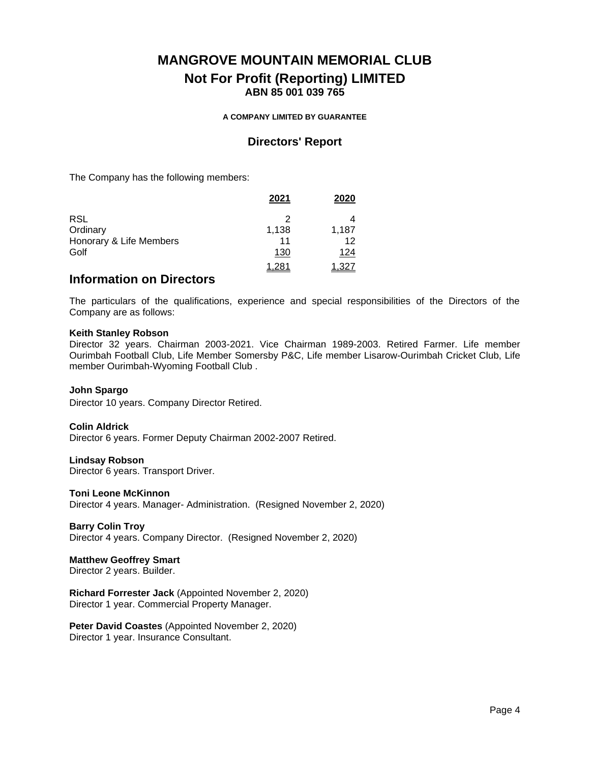#### **A COMPANY LIMITED BY GUARANTEE**

### **Directors' Report**

The Company has the following members:

|                         | 2021           | 2020  |
|-------------------------|----------------|-------|
| <b>RSL</b>              | っ              |       |
| Ordinary                | 1,138          | 1,187 |
| Honorary & Life Members | 11             | 12    |
| Golf                    | 130            | 124   |
|                         | $1.28^{\circ}$ |       |

## **Information on Directors**

The particulars of the qualifications, experience and special responsibilities of the Directors of the Company are as follows:

#### **Keith Stanley Robson**

Director 32 years. Chairman 2003-2021. Vice Chairman 1989-2003. Retired Farmer. Life member Ourimbah Football Club, Life Member Somersby P&C, Life member Lisarow-Ourimbah Cricket Club, Life member Ourimbah-Wyoming Football Club .

#### **John Spargo**

Director 10 years. Company Director Retired.

#### **Colin Aldrick**

Director 6 years. Former Deputy Chairman 2002-2007 Retired.

**Lindsay Robson** Director 6 years. Transport Driver.

**Toni Leone McKinnon** Director 4 years. Manager- Administration. (Resigned November 2, 2020)

#### **Barry Colin Troy**

Director 4 years. Company Director. (Resigned November 2, 2020)

# **Matthew Geoffrey Smart**

Director 2 years. Builder.

**Richard Forrester Jack** (Appointed November 2, 2020) Director 1 year. Commercial Property Manager.

**Peter David Coastes** (Appointed November 2, 2020) Director 1 year. Insurance Consultant.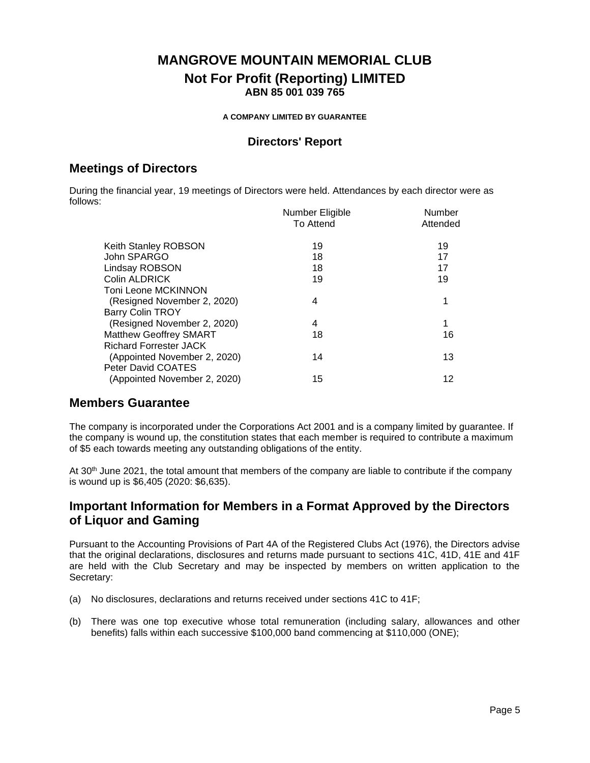#### **A COMPANY LIMITED BY GUARANTEE**

### **Directors' Report**

### **Meetings of Directors**

During the financial year, 19 meetings of Directors were held. Attendances by each director were as follows:

|                               | Number Eligible<br><b>To Attend</b> | Number<br>Attended |
|-------------------------------|-------------------------------------|--------------------|
| <b>Keith Stanley ROBSON</b>   | 19                                  | 19                 |
| John SPARGO                   | 18                                  | 17                 |
| Lindsay ROBSON                | 18                                  | 17                 |
| Colin ALDRICK                 | 19                                  | 19                 |
| <b>Toni Leone MCKINNON</b>    |                                     |                    |
| (Resigned November 2, 2020)   | 4                                   |                    |
| <b>Barry Colin TROY</b>       |                                     |                    |
| (Resigned November 2, 2020)   | 4                                   |                    |
| <b>Matthew Geoffrey SMART</b> | 18                                  | 16                 |
| <b>Richard Forrester JACK</b> |                                     |                    |
| (Appointed November 2, 2020)  | 14                                  | 13                 |
| Peter David COATES            |                                     |                    |
| (Appointed November 2, 2020)  | 15                                  | 12                 |

### **Members Guarantee**

The company is incorporated under the Corporations Act 2001 and is a company limited by guarantee. If the company is wound up, the constitution states that each member is required to contribute a maximum of \$5 each towards meeting any outstanding obligations of the entity.

At 30<sup>th</sup> June 2021, the total amount that members of the company are liable to contribute if the company is wound up is \$6,405 (2020: \$6,635).

### **Important Information for Members in a Format Approved by the Directors of Liquor and Gaming**

Pursuant to the Accounting Provisions of Part 4A of the Registered Clubs Act (1976), the Directors advise that the original declarations, disclosures and returns made pursuant to sections 41C, 41D, 41E and 41F are held with the Club Secretary and may be inspected by members on written application to the Secretary:

- (a) No disclosures, declarations and returns received under sections 41C to 41F;
- (b) There was one top executive whose total remuneration (including salary, allowances and other benefits) falls within each successive \$100,000 band commencing at \$110,000 (ONE);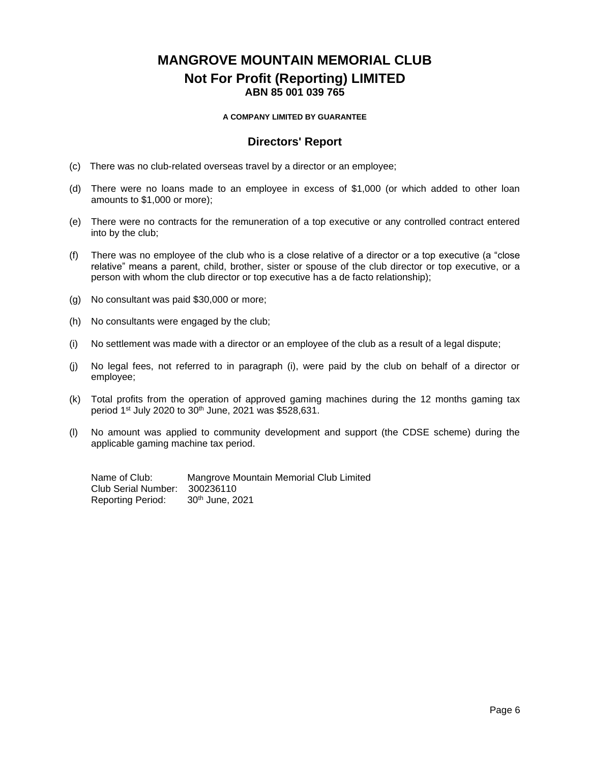#### **A COMPANY LIMITED BY GUARANTEE**

### **Directors' Report**

- (c) There was no club-related overseas travel by a director or an employee;
- (d) There were no loans made to an employee in excess of \$1,000 (or which added to other loan amounts to \$1,000 or more);
- (e) There were no contracts for the remuneration of a top executive or any controlled contract entered into by the club;
- (f) There was no employee of the club who is a close relative of a director or a top executive (a "close relative" means a parent, child, brother, sister or spouse of the club director or top executive, or a person with whom the club director or top executive has a de facto relationship);
- (g) No consultant was paid \$30,000 or more;
- (h) No consultants were engaged by the club;
- (i) No settlement was made with a director or an employee of the club as a result of a legal dispute;
- (j) No legal fees, not referred to in paragraph (i), were paid by the club on behalf of a director or employee;
- (k) Total profits from the operation of approved gaming machines during the 12 months gaming tax period 1st July 2020 to 30th June, 2021 was \$528,631.
- (l) No amount was applied to community development and support (the CDSE scheme) during the applicable gaming machine tax period.

Name of Club: Mangrove Mountain Memorial Club Limited Club Serial Number: 300236110 Reporting Period: 30th June, 2021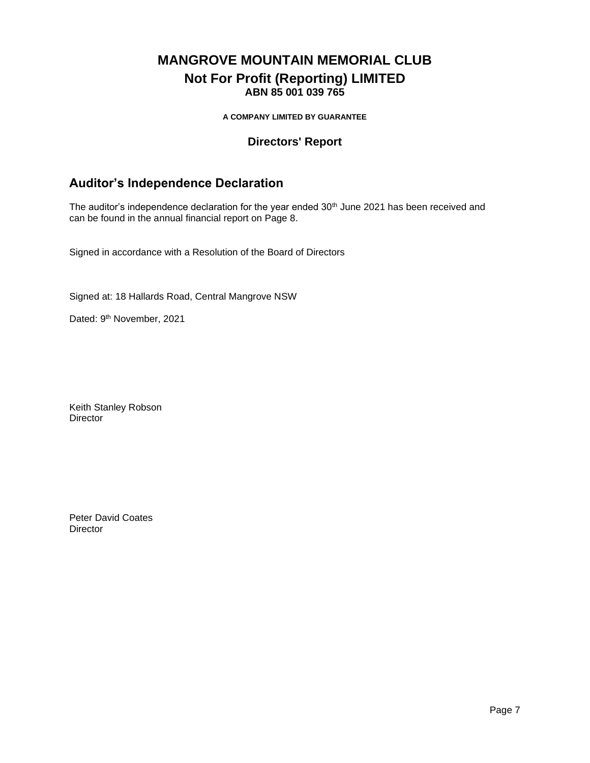**A COMPANY LIMITED BY GUARANTEE**

### **Directors' Report**

## **Auditor's Independence Declaration**

The auditor's independence declaration for the year ended 30<sup>th</sup> June 2021 has been received and can be found in the annual financial report on Page 8.

Signed in accordance with a Resolution of the Board of Directors

Signed at: 18 Hallards Road, Central Mangrove NSW

Dated: 9<sup>th</sup> November, 2021

Keith Stanley Robson Director

Peter David Coates **Director**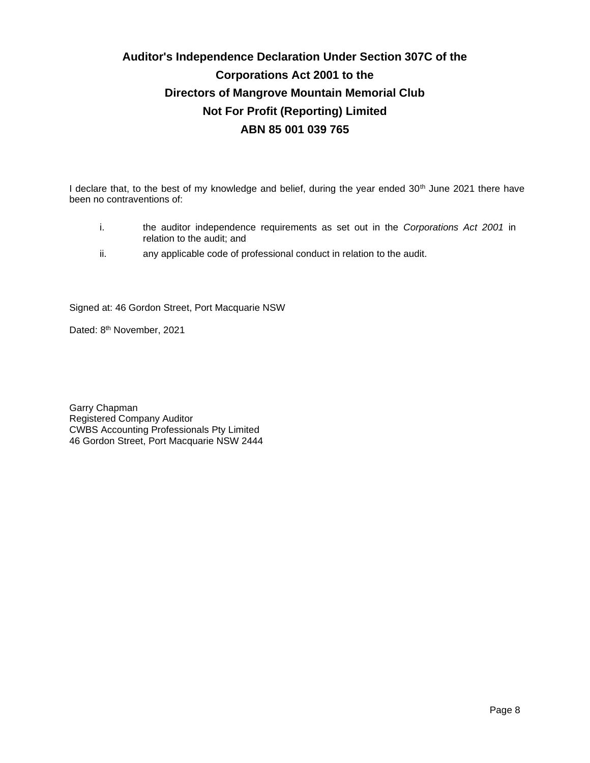# **Auditor's Independence Declaration Under Section 307C of the Corporations Act 2001 to the Directors of Mangrove Mountain Memorial Club Not For Profit (Reporting) Limited ABN 85 001 039 765**

I declare that, to the best of my knowledge and belief, during the year ended 30<sup>th</sup> June 2021 there have been no contraventions of:

- i. the auditor independence requirements as set out in the *Corporations Act 2001* in relation to the audit; and
- ii. any applicable code of professional conduct in relation to the audit.

Signed at: 46 Gordon Street, Port Macquarie NSW

Dated: 8<sup>th</sup> November, 2021

Garry Chapman Registered Company Auditor CWBS Accounting Professionals Pty Limited 46 Gordon Street, Port Macquarie NSW 2444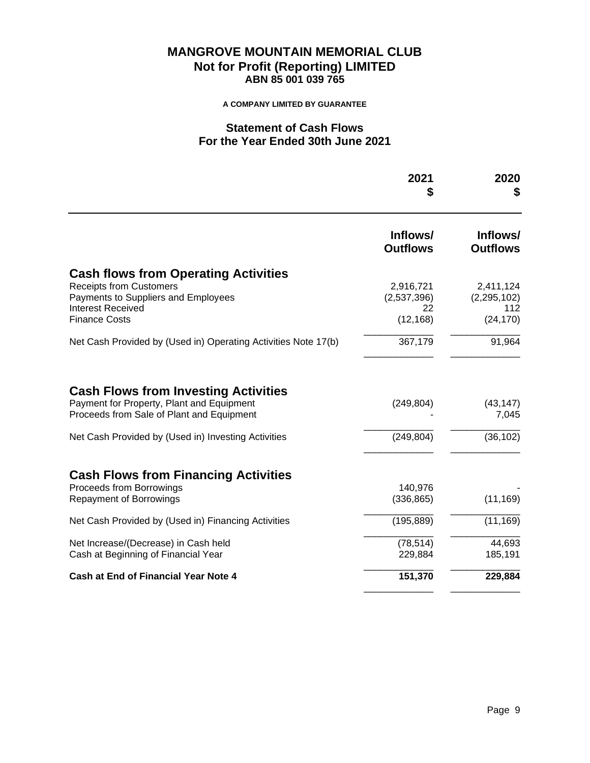**A COMPANY LIMITED BY GUARANTEE**

## **Statement of Cash Flows For the Year Ended 30th June 2021**

|                                                                                                                                       | 2021<br>S                      | 2020<br>S                         |
|---------------------------------------------------------------------------------------------------------------------------------------|--------------------------------|-----------------------------------|
|                                                                                                                                       | Inflows/<br><b>Outflows</b>    | Inflows/<br><b>Outflows</b>       |
| <b>Cash flows from Operating Activities</b>                                                                                           |                                |                                   |
| <b>Receipts from Customers</b><br>Payments to Suppliers and Employees<br><b>Interest Received</b>                                     | 2,916,721<br>(2,537,396)<br>22 | 2,411,124<br>(2, 295, 102)<br>112 |
| <b>Finance Costs</b>                                                                                                                  | (12, 168)                      | (24, 170)                         |
| Net Cash Provided by (Used in) Operating Activities Note 17(b)                                                                        | 367,179                        | 91,964                            |
| <b>Cash Flows from Investing Activities</b><br>Payment for Property, Plant and Equipment<br>Proceeds from Sale of Plant and Equipment | (249, 804)                     | (43, 147)<br>7,045                |
| Net Cash Provided by (Used in) Investing Activities                                                                                   | (249, 804)                     | (36, 102)                         |
| <b>Cash Flows from Financing Activities</b><br>Proceeds from Borrowings                                                               | 140,976                        |                                   |
| <b>Repayment of Borrowings</b>                                                                                                        | (336, 865)                     | (11, 169)                         |
| Net Cash Provided by (Used in) Financing Activities                                                                                   | (195, 889)                     | (11, 169)                         |
| Net Increase/(Decrease) in Cash held<br>Cash at Beginning of Financial Year                                                           | (78, 514)<br>229,884           | 44,693<br>185,191                 |
| Cash at End of Financial Year Note 4                                                                                                  | 151,370                        | 229,884                           |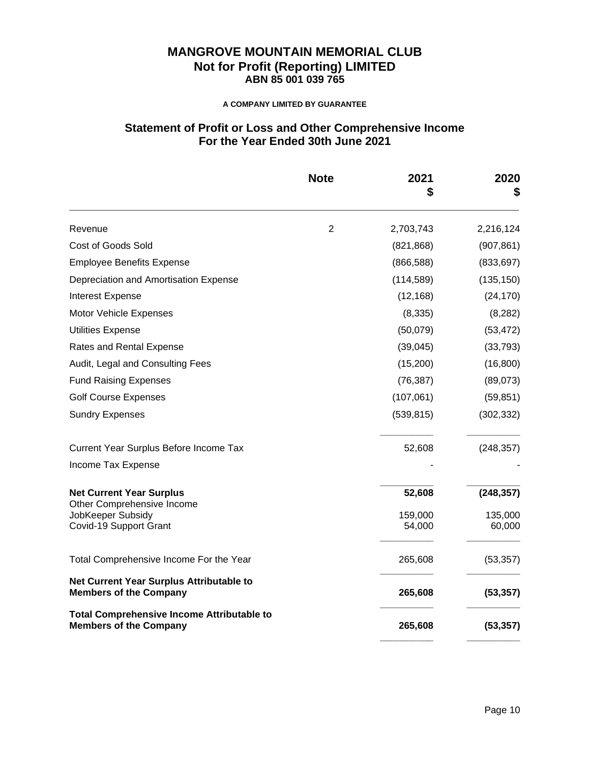**A COMPANY LIMITED BY GUARANTEE**

### **Statement of Profit or Loss and Other Comprehensive Income For the Year Ended 30th June 2021**

|                                                                                    | <b>Note</b>    | 2021              | 2020<br>S         |
|------------------------------------------------------------------------------------|----------------|-------------------|-------------------|
| Revenue                                                                            | $\overline{2}$ | 2,703,743         | 2,216,124         |
| Cost of Goods Sold                                                                 |                | (821, 868)        | (907, 861)        |
| <b>Employee Benefits Expense</b>                                                   |                | (866, 588)        | (833, 697)        |
| Depreciation and Amortisation Expense                                              |                | (114, 589)        | (135, 150)        |
| <b>Interest Expense</b>                                                            |                | (12, 168)         | (24, 170)         |
| Motor Vehicle Expenses                                                             |                | (8,335)           | (8,282)           |
| <b>Utilities Expense</b>                                                           |                | (50,079)          | (53, 472)         |
| Rates and Rental Expense                                                           |                | (39, 045)         | (33, 793)         |
| Audit, Legal and Consulting Fees                                                   |                | (15,200)          | (16, 800)         |
| <b>Fund Raising Expenses</b>                                                       |                | (76, 387)         | (89,073)          |
| <b>Golf Course Expenses</b>                                                        |                | (107,061)         | (59, 851)         |
| <b>Sundry Expenses</b>                                                             |                | (539, 815)        | (302, 332)        |
| Current Year Surplus Before Income Tax                                             |                | 52,608            | (248, 357)        |
| Income Tax Expense                                                                 |                |                   |                   |
| <b>Net Current Year Surplus</b>                                                    |                | 52,608            | (248, 357)        |
| Other Comprehensive Income<br>JobKeeper Subsidy<br>Covid-19 Support Grant          |                | 159,000<br>54,000 | 135,000<br>60,000 |
| Total Comprehensive Income For the Year                                            |                | 265,608           | (53, 357)         |
| <b>Net Current Year Surplus Attributable to</b><br><b>Members of the Company</b>   |                | 265,608           | (53, 357)         |
| <b>Total Comprehensive Income Attributable to</b><br><b>Members of the Company</b> |                | 265,608           | (53, 357)         |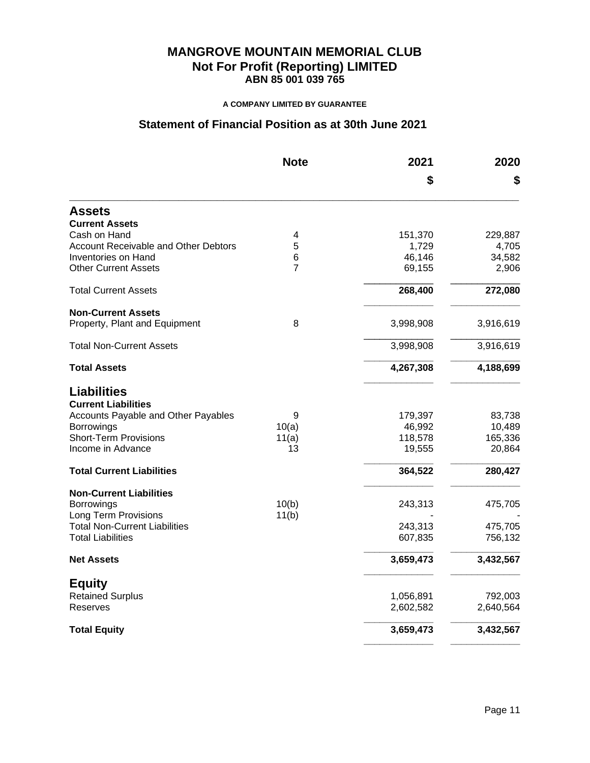#### **A COMPANY LIMITED BY GUARANTEE**

# **Statement of Financial Position as at 30th June 2021**

|                                                                  | <b>Note</b>    | 2021      | 2020      |
|------------------------------------------------------------------|----------------|-----------|-----------|
|                                                                  |                | \$        | \$        |
| <b>Assets</b>                                                    |                |           |           |
| <b>Current Assets</b>                                            |                |           |           |
| Cash on Hand                                                     | 4              | 151,370   | 229,887   |
| Account Receivable and Other Debtors                             | 5              | 1,729     | 4,705     |
| Inventories on Hand                                              | 6              | 46,146    | 34,582    |
| <b>Other Current Assets</b>                                      | $\overline{7}$ | 69,155    | 2,906     |
| <b>Total Current Assets</b>                                      |                | 268,400   | 272,080   |
| <b>Non-Current Assets</b>                                        |                |           |           |
| Property, Plant and Equipment                                    | 8              | 3,998,908 | 3,916,619 |
| <b>Total Non-Current Assets</b>                                  |                | 3,998,908 | 3,916,619 |
| <b>Total Assets</b>                                              |                | 4,267,308 | 4,188,699 |
| <b>Liabilities</b><br><b>Current Liabilities</b>                 |                |           |           |
| Accounts Payable and Other Payables                              | 9              | 179,397   | 83,738    |
| <b>Borrowings</b>                                                | 10(a)          | 46,992    | 10,489    |
| <b>Short-Term Provisions</b>                                     | 11(a)          | 118,578   | 165,336   |
| Income in Advance                                                | 13             | 19,555    | 20,864    |
| <b>Total Current Liabilities</b>                                 |                | 364,522   | 280,427   |
| <b>Non-Current Liabilities</b>                                   |                |           |           |
| <b>Borrowings</b>                                                | 10(b)          | 243,313   | 475,705   |
| <b>Long Term Provisions</b>                                      | 11(b)          |           |           |
| <b>Total Non-Current Liabilities</b><br><b>Total Liabilities</b> |                | 243,313   | 475,705   |
|                                                                  |                | 607,835   | 756,132   |
| <b>Net Assets</b>                                                |                | 3,659,473 | 3,432,567 |
| <b>Equity</b>                                                    |                |           |           |
| <b>Retained Surplus</b>                                          |                | 1,056,891 | 792,003   |
| Reserves                                                         |                | 2,602,582 | 2,640,564 |
| <b>Total Equity</b>                                              |                | 3,659,473 | 3,432,567 |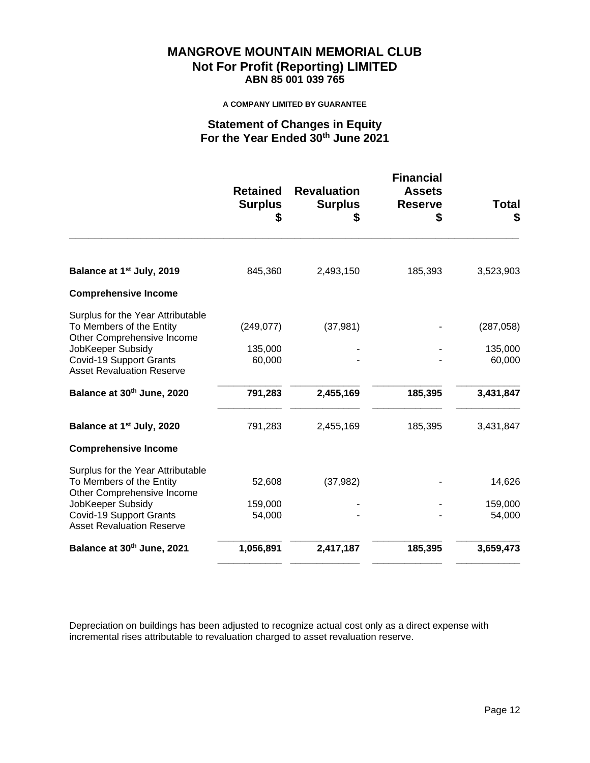**A COMPANY LIMITED BY GUARANTEE**

### **Statement of Changes in Equity For the Year Ended 30th June 2021**

|                                                                                             | <b>Retained</b><br><b>Surplus</b> | <b>Revaluation</b><br><b>Surplus</b><br>\$ | <b>Financial</b><br><b>Assets</b><br><b>Reserve</b><br>\$ | Total<br>S        |
|---------------------------------------------------------------------------------------------|-----------------------------------|--------------------------------------------|-----------------------------------------------------------|-------------------|
| Balance at 1 <sup>st</sup> July, 2019                                                       | 845,360                           | 2,493,150                                  | 185,393                                                   | 3,523,903         |
| <b>Comprehensive Income</b>                                                                 |                                   |                                            |                                                           |                   |
| Surplus for the Year Attributable<br>To Members of the Entity<br>Other Comprehensive Income | (249, 077)                        | (37, 981)                                  |                                                           | (287,058)         |
| JobKeeper Subsidy<br><b>Covid-19 Support Grants</b><br><b>Asset Revaluation Reserve</b>     | 135,000<br>60,000                 |                                            |                                                           | 135,000<br>60,000 |
| Balance at 30th June, 2020                                                                  | 791,283                           | 2,455,169                                  | 185,395                                                   | 3,431,847         |
| Balance at 1 <sup>st</sup> July, 2020                                                       | 791,283                           | 2,455,169                                  | 185,395                                                   | 3,431,847         |
| <b>Comprehensive Income</b>                                                                 |                                   |                                            |                                                           |                   |
| Surplus for the Year Attributable<br>To Members of the Entity<br>Other Comprehensive Income | 52,608                            | (37, 982)                                  |                                                           | 14,626            |
| JobKeeper Subsidy<br><b>Covid-19 Support Grants</b><br><b>Asset Revaluation Reserve</b>     | 159,000<br>54,000                 |                                            |                                                           | 159,000<br>54,000 |
| Balance at 30th June, 2021                                                                  | 1,056,891                         | 2,417,187                                  | 185,395                                                   | 3,659,473         |

Depreciation on buildings has been adjusted to recognize actual cost only as a direct expense with incremental rises attributable to revaluation charged to asset revaluation reserve.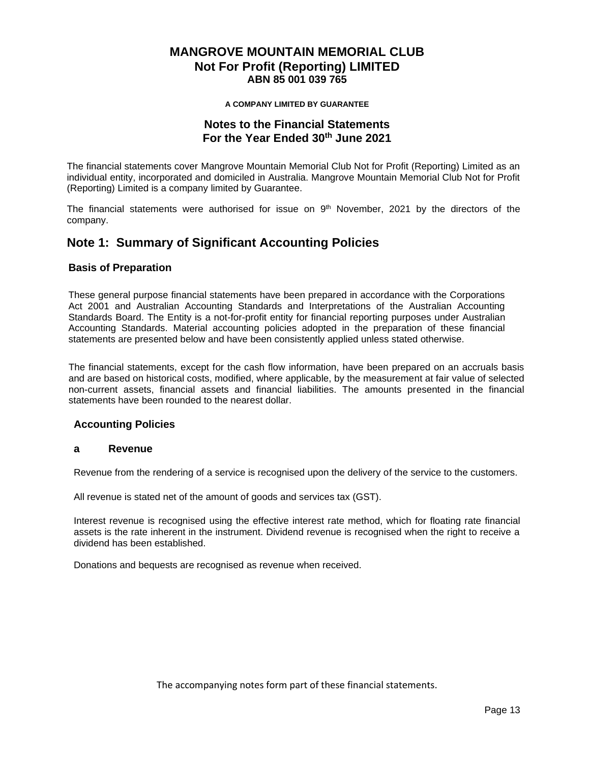#### **A COMPANY LIMITED BY GUARANTEE**

### **Notes to the Financial Statements For the Year Ended 30th June 2021**

The financial statements cover Mangrove Mountain Memorial Club Not for Profit (Reporting) Limited as an individual entity, incorporated and domiciled in Australia. Mangrove Mountain Memorial Club Not for Profit (Reporting) Limited is a company limited by Guarantee.

The financial statements were authorised for issue on  $9<sup>th</sup>$  November, 2021 by the directors of the company.

### **Note 1: Summary of Significant Accounting Policies**

### **Basis of Preparation**

These general purpose financial statements have been prepared in accordance with the Corporations Act 2001 and Australian Accounting Standards and Interpretations of the Australian Accounting Standards Board. The Entity is a not-for-profit entity for financial reporting purposes under Australian Accounting Standards. Material accounting policies adopted in the preparation of these financial statements are presented below and have been consistently applied unless stated otherwise.

The financial statements, except for the cash flow information, have been prepared on an accruals basis and are based on historical costs, modified, where applicable, by the measurement at fair value of selected non-current assets, financial assets and financial liabilities. The amounts presented in the financial statements have been rounded to the nearest dollar.

### **Accounting Policies**

#### **a Revenue**

Revenue from the rendering of a service is recognised upon the delivery of the service to the customers.

All revenue is stated net of the amount of goods and services tax (GST).

Interest revenue is recognised using the effective interest rate method, which for floating rate financial assets is the rate inherent in the instrument. Dividend revenue is recognised when the right to receive a dividend has been established.

Donations and bequests are recognised as revenue when received.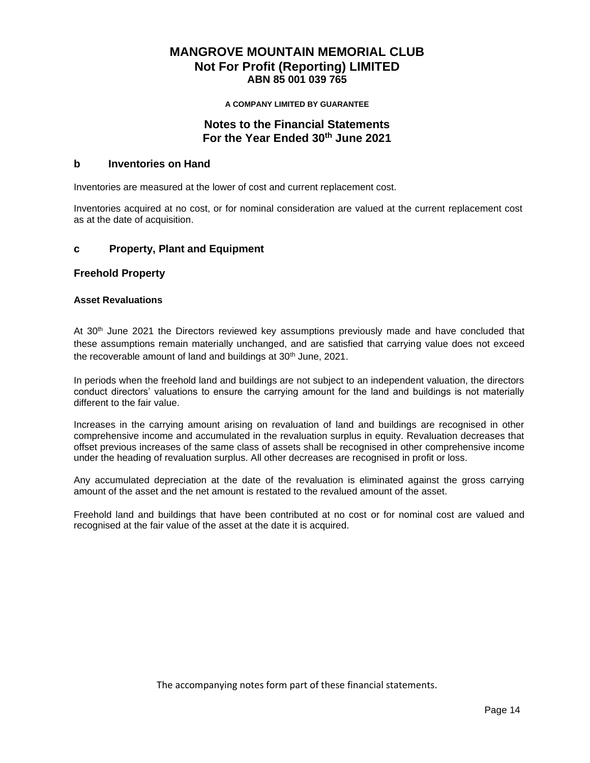#### **A COMPANY LIMITED BY GUARANTEE**

### **Notes to the Financial Statements For the Year Ended 30th June 2021**

#### **b Inventories on Hand**

Inventories are measured at the lower of cost and current replacement cost.

Inventories acquired at no cost, or for nominal consideration are valued at the current replacement cost as at the date of acquisition.

### **c Property, Plant and Equipment**

### **Freehold Property**

#### **Asset Revaluations**

At 30<sup>th</sup> June 2021 the Directors reviewed key assumptions previously made and have concluded that these assumptions remain materially unchanged, and are satisfied that carrying value does not exceed the recoverable amount of land and buildings at  $30<sup>th</sup>$  June, 2021.

In periods when the freehold land and buildings are not subject to an independent valuation, the directors conduct directors' valuations to ensure the carrying amount for the land and buildings is not materially different to the fair value.

Increases in the carrying amount arising on revaluation of land and buildings are recognised in other comprehensive income and accumulated in the revaluation surplus in equity. Revaluation decreases that offset previous increases of the same class of assets shall be recognised in other comprehensive income under the heading of revaluation surplus. All other decreases are recognised in profit or loss.

Any accumulated depreciation at the date of the revaluation is eliminated against the gross carrying amount of the asset and the net amount is restated to the revalued amount of the asset.

Freehold land and buildings that have been contributed at no cost or for nominal cost are valued and recognised at the fair value of the asset at the date it is acquired.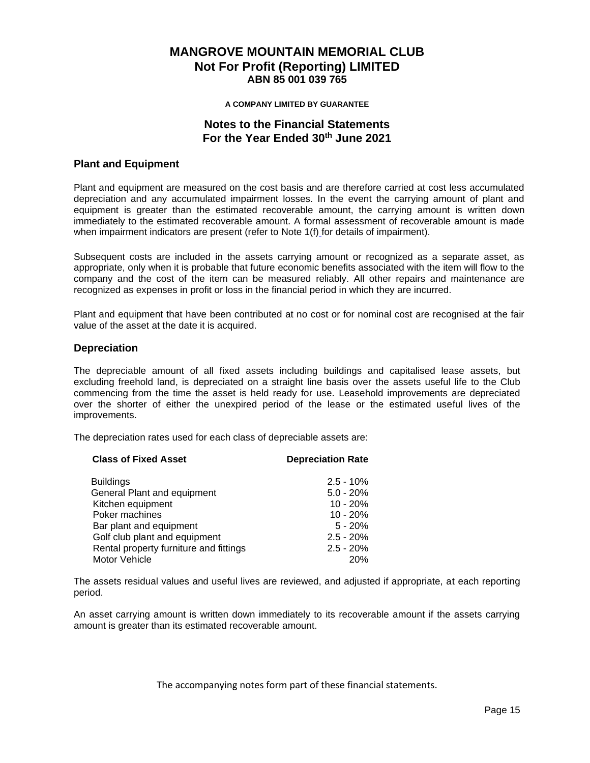**A COMPANY LIMITED BY GUARANTEE**

### **Notes to the Financial Statements For the Year Ended 30th June 2021**

### **Plant and Equipment**

Plant and equipment are measured on the cost basis and are therefore carried at cost less accumulated depreciation and any accumulated impairment losses. In the event the carrying amount of plant and equipment is greater than the estimated recoverable amount, the carrying amount is written down immediately to the estimated recoverable amount. A formal assessment of recoverable amount is made when impairment indicators are present (refer to Note 1(f) for details of impairment).

Subsequent costs are included in the assets carrying amount or recognized as a separate asset, as appropriate, only when it is probable that future economic benefits associated with the item will flow to the company and the cost of the item can be measured reliably. All other repairs and maintenance are recognized as expenses in profit or loss in the financial period in which they are incurred.

Plant and equipment that have been contributed at no cost or for nominal cost are recognised at the fair value of the asset at the date it is acquired.

### **Depreciation**

The depreciable amount of all fixed assets including buildings and capitalised lease assets, but excluding freehold land, is depreciated on a straight line basis over the assets useful life to the Club commencing from the time the asset is held ready for use. Leasehold improvements are depreciated over the shorter of either the unexpired period of the lease or the estimated useful lives of the improvements.

The depreciation rates used for each class of depreciable assets are:

| <b>Class of Fixed Asset</b>            | <b>Depreciation Rate</b> |
|----------------------------------------|--------------------------|
| <b>Buildings</b>                       | $2.5 - 10\%$             |
| General Plant and equipment            | $5.0 - 20%$              |
| Kitchen equipment                      | $10 - 20%$               |
| Poker machines                         | $10 - 20%$               |
| Bar plant and equipment                | $5 - 20%$                |
| Golf club plant and equipment          | $2.5 - 20%$              |
| Rental property furniture and fittings | $2.5 - 20%$              |
| Motor Vehicle                          | 20%                      |
|                                        |                          |

The assets residual values and useful lives are reviewed, and adjusted if appropriate, at each reporting period.

An asset carrying amount is written down immediately to its recoverable amount if the assets carrying amount is greater than its estimated recoverable amount.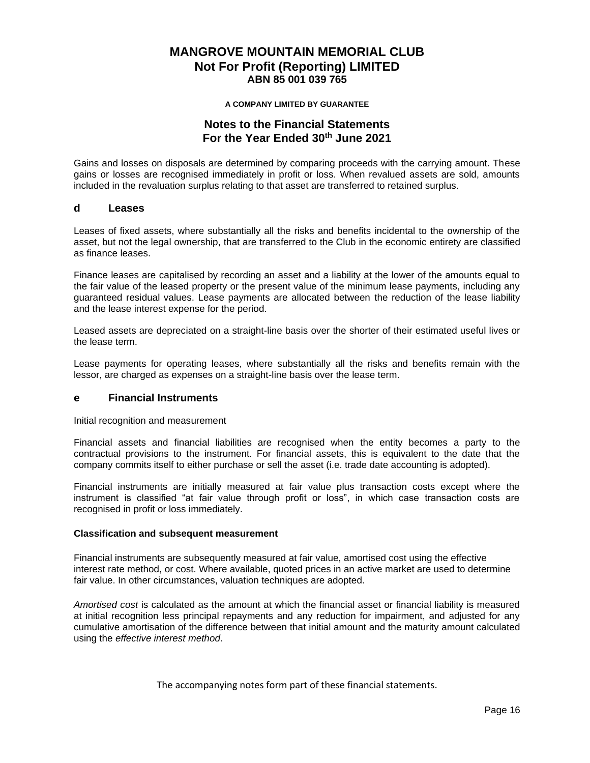#### **A COMPANY LIMITED BY GUARANTEE**

### **Notes to the Financial Statements For the Year Ended 30th June 2021**

Gains and losses on disposals are determined by comparing proceeds with the carrying amount. These gains or losses are recognised immediately in profit or loss. When revalued assets are sold, amounts included in the revaluation surplus relating to that asset are transferred to retained surplus.

#### **d Leases**

Leases of fixed assets, where substantially all the risks and benefits incidental to the ownership of the asset, but not the legal ownership, that are transferred to the Club in the economic entirety are classified as finance leases.

Finance leases are capitalised by recording an asset and a liability at the lower of the amounts equal to the fair value of the leased property or the present value of the minimum lease payments, including any guaranteed residual values. Lease payments are allocated between the reduction of the lease liability and the lease interest expense for the period.

Leased assets are depreciated on a straight-line basis over the shorter of their estimated useful lives or the lease term.

Lease payments for operating leases, where substantially all the risks and benefits remain with the lessor, are charged as expenses on a straight-line basis over the lease term.

#### **e Financial Instruments**

Initial recognition and measurement

Financial assets and financial liabilities are recognised when the entity becomes a party to the contractual provisions to the instrument. For financial assets, this is equivalent to the date that the company commits itself to either purchase or sell the asset (i.e. trade date accounting is adopted).

Financial instruments are initially measured at fair value plus transaction costs except where the instrument is classified "at fair value through profit or loss", in which case transaction costs are recognised in profit or loss immediately.

#### **Classification and subsequent measurement**

Financial instruments are subsequently measured at fair value, amortised cost using the effective interest rate method, or cost. Where available, quoted prices in an active market are used to determine fair value. In other circumstances, valuation techniques are adopted.

*Amortised cost* is calculated as the amount at which the financial asset or financial liability is measured at initial recognition less principal repayments and any reduction for impairment, and adjusted for any cumulative amortisation of the difference between that initial amount and the maturity amount calculated using the *effective interest method*.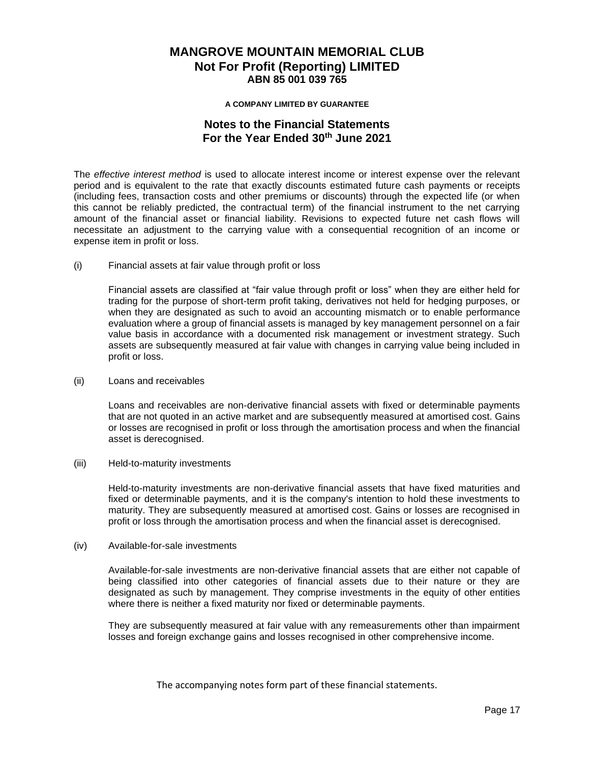#### **A COMPANY LIMITED BY GUARANTEE**

### **Notes to the Financial Statements For the Year Ended 30th June 2021**

The *effective interest method* is used to allocate interest income or interest expense over the relevant period and is equivalent to the rate that exactly discounts estimated future cash payments or receipts (including fees, transaction costs and other premiums or discounts) through the expected life (or when this cannot be reliably predicted, the contractual term) of the financial instrument to the net carrying amount of the financial asset or financial liability. Revisions to expected future net cash flows will necessitate an adjustment to the carrying value with a consequential recognition of an income or expense item in profit or loss.

(i) Financial assets at fair value through profit or loss

Financial assets are classified at "fair value through profit or loss" when they are either held for trading for the purpose of short-term profit taking, derivatives not held for hedging purposes, or when they are designated as such to avoid an accounting mismatch or to enable performance evaluation where a group of financial assets is managed by key management personnel on a fair value basis in accordance with a documented risk management or investment strategy. Such assets are subsequently measured at fair value with changes in carrying value being included in profit or loss.

(ii) Loans and receivables

Loans and receivables are non-derivative financial assets with fixed or determinable payments that are not quoted in an active market and are subsequently measured at amortised cost. Gains or losses are recognised in profit or loss through the amortisation process and when the financial asset is derecognised.

(iii) Held-to-maturity investments

Held-to-maturity investments are non-derivative financial assets that have fixed maturities and fixed or determinable payments, and it is the company's intention to hold these investments to maturity. They are subsequently measured at amortised cost. Gains or losses are recognised in profit or loss through the amortisation process and when the financial asset is derecognised.

(iv) Available-for-sale investments

Available-for-sale investments are non-derivative financial assets that are either not capable of being classified into other categories of financial assets due to their nature or they are designated as such by management. They comprise investments in the equity of other entities where there is neither a fixed maturity nor fixed or determinable payments.

They are subsequently measured at fair value with any remeasurements other than impairment losses and foreign exchange gains and losses recognised in other comprehensive income.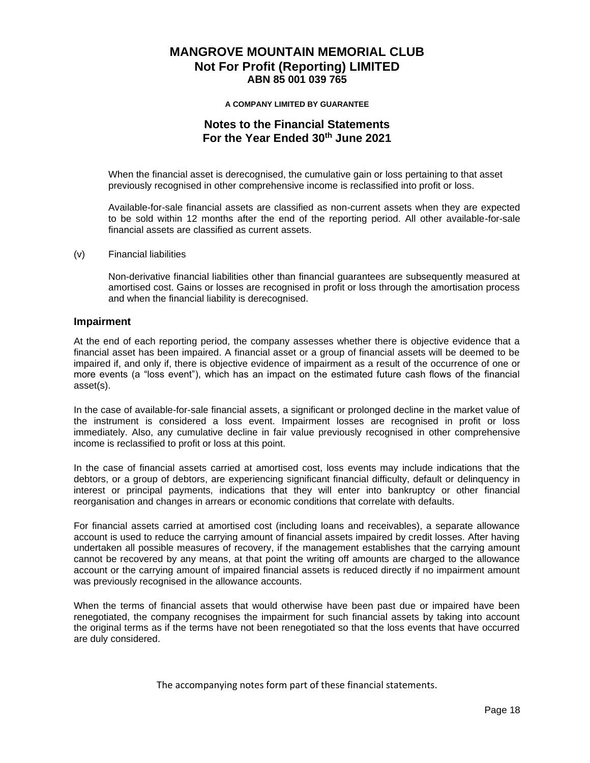#### **A COMPANY LIMITED BY GUARANTEE**

### **Notes to the Financial Statements For the Year Ended 30th June 2021**

When the financial asset is derecognised, the cumulative gain or loss pertaining to that asset previously recognised in other comprehensive income is reclassified into profit or loss.

Available-for-sale financial assets are classified as non-current assets when they are expected to be sold within 12 months after the end of the reporting period. All other available-for-sale financial assets are classified as current assets.

(v) Financial liabilities

Non-derivative financial liabilities other than financial guarantees are subsequently measured at amortised cost. Gains or losses are recognised in profit or loss through the amortisation process and when the financial liability is derecognised.

#### **Impairment**

At the end of each reporting period, the company assesses whether there is objective evidence that a financial asset has been impaired. A financial asset or a group of financial assets will be deemed to be impaired if, and only if, there is objective evidence of impairment as a result of the occurrence of one or more events (a "loss event"), which has an impact on the estimated future cash flows of the financial asset(s).

In the case of available-for-sale financial assets, a significant or prolonged decline in the market value of the instrument is considered a loss event. Impairment losses are recognised in profit or loss immediately. Also, any cumulative decline in fair value previously recognised in other comprehensive income is reclassified to profit or loss at this point.

In the case of financial assets carried at amortised cost, loss events may include indications that the debtors, or a group of debtors, are experiencing significant financial difficulty, default or delinquency in interest or principal payments, indications that they will enter into bankruptcy or other financial reorganisation and changes in arrears or economic conditions that correlate with defaults.

For financial assets carried at amortised cost (including loans and receivables), a separate allowance account is used to reduce the carrying amount of financial assets impaired by credit losses. After having undertaken all possible measures of recovery, if the management establishes that the carrying amount cannot be recovered by any means, at that point the writing off amounts are charged to the allowance account or the carrying amount of impaired financial assets is reduced directly if no impairment amount was previously recognised in the allowance accounts.

When the terms of financial assets that would otherwise have been past due or impaired have been renegotiated, the company recognises the impairment for such financial assets by taking into account the original terms as if the terms have not been renegotiated so that the loss events that have occurred are duly considered.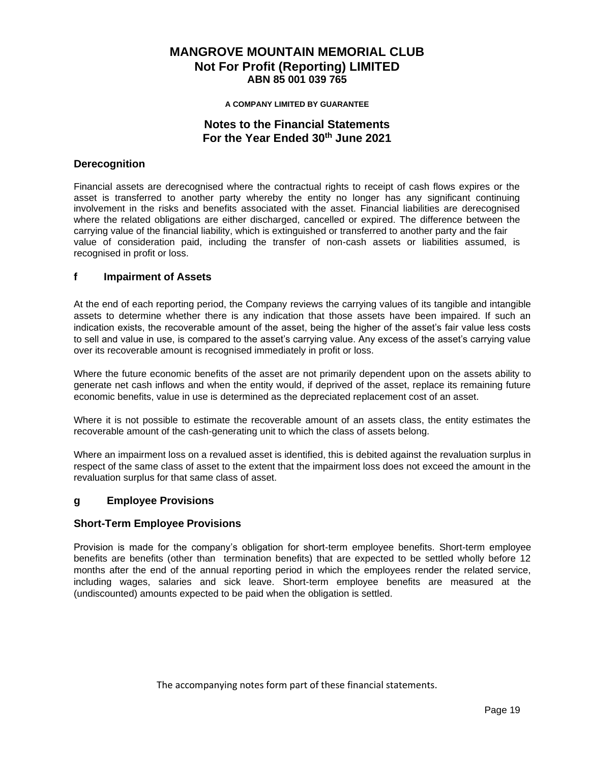**A COMPANY LIMITED BY GUARANTEE**

### **Notes to the Financial Statements For the Year Ended 30th June 2021**

### **Derecognition**

Financial assets are derecognised where the contractual rights to receipt of cash flows expires or the asset is transferred to another party whereby the entity no longer has any significant continuing involvement in the risks and benefits associated with the asset. Financial liabilities are derecognised where the related obligations are either discharged, cancelled or expired. The difference between the carrying value of the financial liability, which is extinguished or transferred to another party and the fair value of consideration paid, including the transfer of non-cash assets or liabilities assumed, is recognised in profit or loss.

### **f Impairment of Assets**

At the end of each reporting period, the Company reviews the carrying values of its tangible and intangible assets to determine whether there is any indication that those assets have been impaired. If such an indication exists, the recoverable amount of the asset, being the higher of the asset's fair value less costs to sell and value in use, is compared to the asset's carrying value. Any excess of the asset's carrying value over its recoverable amount is recognised immediately in profit or loss.

Where the future economic benefits of the asset are not primarily dependent upon on the assets ability to generate net cash inflows and when the entity would, if deprived of the asset, replace its remaining future economic benefits, value in use is determined as the depreciated replacement cost of an asset.

Where it is not possible to estimate the recoverable amount of an assets class, the entity estimates the recoverable amount of the cash-generating unit to which the class of assets belong.

Where an impairment loss on a revalued asset is identified, this is debited against the revaluation surplus in respect of the same class of asset to the extent that the impairment loss does not exceed the amount in the revaluation surplus for that same class of asset.

### **g Employee Provisions**

### **Short-Term Employee Provisions**

Provision is made for the company's obligation for short-term employee benefits. Short-term employee benefits are benefits (other than termination benefits) that are expected to be settled wholly before 12 months after the end of the annual reporting period in which the employees render the related service, including wages, salaries and sick leave. Short-term employee benefits are measured at the (undiscounted) amounts expected to be paid when the obligation is settled.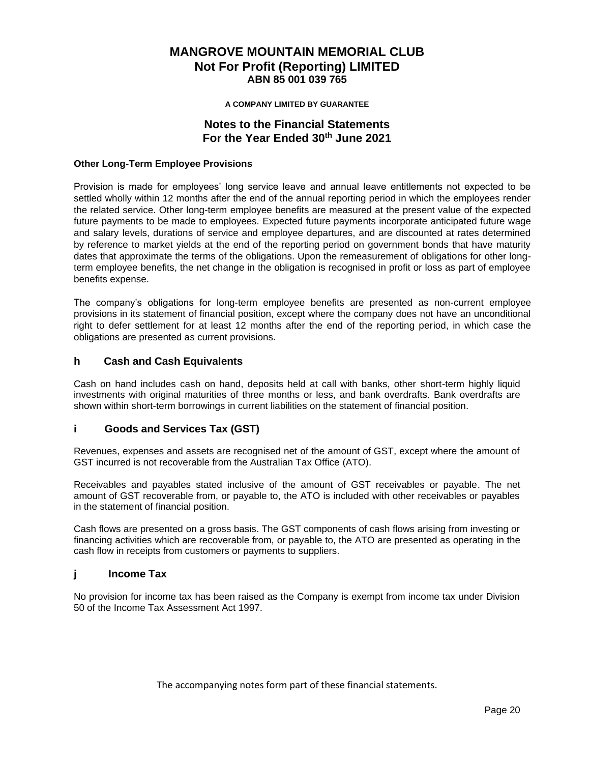#### **A COMPANY LIMITED BY GUARANTEE**

### **Notes to the Financial Statements For the Year Ended 30th June 2021**

#### **Other Long-Term Employee Provisions**

Provision is made for employees' long service leave and annual leave entitlements not expected to be settled wholly within 12 months after the end of the annual reporting period in which the employees render the related service. Other long-term employee benefits are measured at the present value of the expected future payments to be made to employees. Expected future payments incorporate anticipated future wage and salary levels, durations of service and employee departures, and are discounted at rates determined by reference to market yields at the end of the reporting period on government bonds that have maturity dates that approximate the terms of the obligations. Upon the remeasurement of obligations for other longterm employee benefits, the net change in the obligation is recognised in profit or loss as part of employee benefits expense.

The company's obligations for long-term employee benefits are presented as non-current employee provisions in its statement of financial position, except where the company does not have an unconditional right to defer settlement for at least 12 months after the end of the reporting period, in which case the obligations are presented as current provisions.

### **h Cash and Cash Equivalents**

Cash on hand includes cash on hand, deposits held at call with banks, other short-term highly liquid investments with original maturities of three months or less, and bank overdrafts. Bank overdrafts are shown within short-term borrowings in current liabilities on the statement of financial position.

### **i Goods and Services Tax (GST)**

Revenues, expenses and assets are recognised net of the amount of GST, except where the amount of GST incurred is not recoverable from the Australian Tax Office (ATO).

Receivables and payables stated inclusive of the amount of GST receivables or payable. The net amount of GST recoverable from, or payable to, the ATO is included with other receivables or payables in the statement of financial position.

Cash flows are presented on a gross basis. The GST components of cash flows arising from investing or financing activities which are recoverable from, or payable to, the ATO are presented as operating in the cash flow in receipts from customers or payments to suppliers.

### **j Income Tax**

No provision for income tax has been raised as the Company is exempt from income tax under Division 50 of the Income Tax Assessment Act 1997.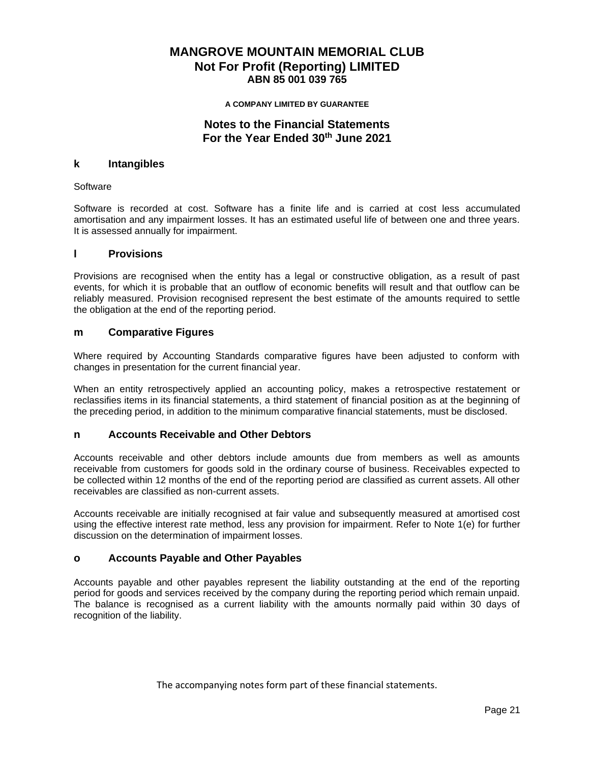**A COMPANY LIMITED BY GUARANTEE**

### **Notes to the Financial Statements For the Year Ended 30th June 2021**

### **k Intangibles**

#### **Software**

Software is recorded at cost. Software has a finite life and is carried at cost less accumulated amortisation and any impairment losses. It has an estimated useful life of between one and three years. It is assessed annually for impairment.

#### **l Provisions**

Provisions are recognised when the entity has a legal or constructive obligation, as a result of past events, for which it is probable that an outflow of economic benefits will result and that outflow can be reliably measured. Provision recognised represent the best estimate of the amounts required to settle the obligation at the end of the reporting period.

### **m Comparative Figures**

Where required by Accounting Standards comparative figures have been adjusted to conform with changes in presentation for the current financial year.

When an entity retrospectively applied an accounting policy, makes a retrospective restatement or reclassifies items in its financial statements, a third statement of financial position as at the beginning of the preceding period, in addition to the minimum comparative financial statements, must be disclosed.

### **n Accounts Receivable and Other Debtors**

Accounts receivable and other debtors include amounts due from members as well as amounts receivable from customers for goods sold in the ordinary course of business. Receivables expected to be collected within 12 months of the end of the reporting period are classified as current assets. All other receivables are classified as non-current assets.

Accounts receivable are initially recognised at fair value and subsequently measured at amortised cost using the effective interest rate method, less any provision for impairment. Refer to Note 1(e) for further discussion on the determination of impairment losses.

### **o Accounts Payable and Other Payables**

Accounts payable and other payables represent the liability outstanding at the end of the reporting period for goods and services received by the company during the reporting period which remain unpaid. The balance is recognised as a current liability with the amounts normally paid within 30 days of recognition of the liability.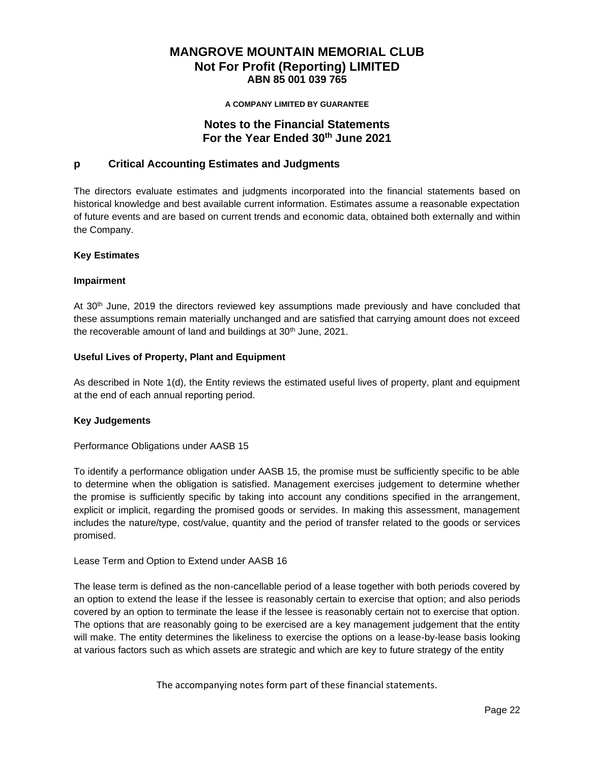#### **A COMPANY LIMITED BY GUARANTEE**

### **Notes to the Financial Statements For the Year Ended 30th June 2021**

### **p Critical Accounting Estimates and Judgments**

The directors evaluate estimates and judgments incorporated into the financial statements based on historical knowledge and best available current information. Estimates assume a reasonable expectation of future events and are based on current trends and economic data, obtained both externally and within the Company.

#### **Key Estimates**

#### **Impairment**

At 30<sup>th</sup> June, 2019 the directors reviewed key assumptions made previously and have concluded that these assumptions remain materially unchanged and are satisfied that carrying amount does not exceed the recoverable amount of land and buildings at 30<sup>th</sup> June, 2021.

#### **Useful Lives of Property, Plant and Equipment**

As described in Note 1(d), the Entity reviews the estimated useful lives of property, plant and equipment at the end of each annual reporting period.

#### **Key Judgements**

Performance Obligations under AASB 15

To identify a performance obligation under AASB 15, the promise must be sufficiently specific to be able to determine when the obligation is satisfied. Management exercises judgement to determine whether the promise is sufficiently specific by taking into account any conditions specified in the arrangement, explicit or implicit, regarding the promised goods or servides. In making this assessment, management includes the nature/type, cost/value, quantity and the period of transfer related to the goods or services promised.

#### Lease Term and Option to Extend under AASB 16

The lease term is defined as the non-cancellable period of a lease together with both periods covered by an option to extend the lease if the lessee is reasonably certain to exercise that option; and also periods covered by an option to terminate the lease if the lessee is reasonably certain not to exercise that option. The options that are reasonably going to be exercised are a key management judgement that the entity will make. The entity determines the likeliness to exercise the options on a lease-by-lease basis looking at various factors such as which assets are strategic and which are key to future strategy of the entity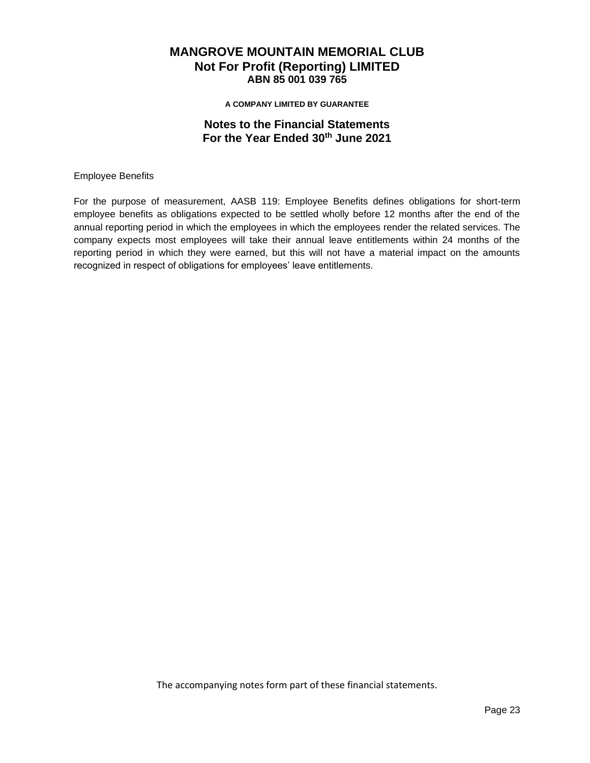**A COMPANY LIMITED BY GUARANTEE**

### **Notes to the Financial Statements For the Year Ended 30th June 2021**

Employee Benefits

For the purpose of measurement, AASB 119: Employee Benefits defines obligations for short-term employee benefits as obligations expected to be settled wholly before 12 months after the end of the annual reporting period in which the employees in which the employees render the related services. The company expects most employees will take their annual leave entitlements within 24 months of the reporting period in which they were earned, but this will not have a material impact on the amounts recognized in respect of obligations for employees' leave entitlements.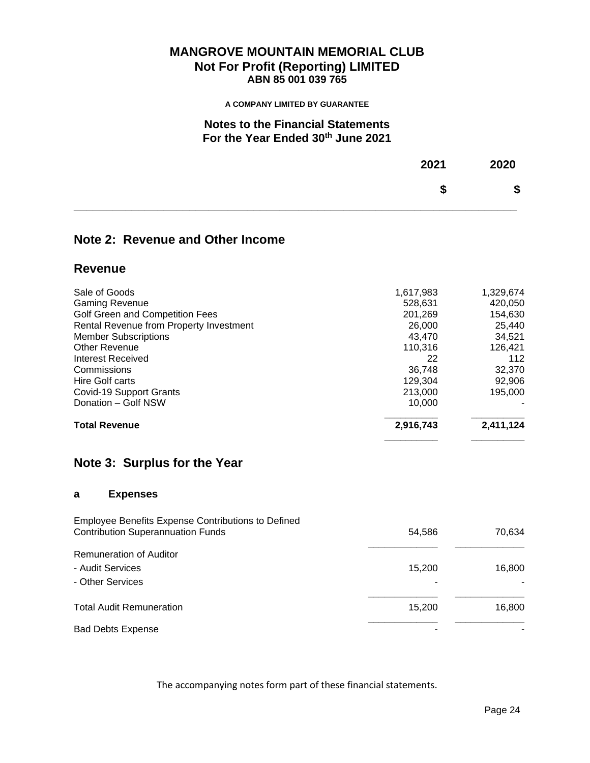#### **A COMPANY LIMITED BY GUARANTEE**

## **Notes to the Financial Statements For the Year Ended 30th June 2021**

| 2021 | 2020 |
|------|------|
| œ    | ¢    |
| ⊕    | Ð    |

## **Note 2: Revenue and Other Income**

### **Revenue**

| Sale of Goods                           | 1,617,983 | 1,329,674 |
|-----------------------------------------|-----------|-----------|
| <b>Gaming Revenue</b>                   | 528.631   | 420,050   |
| Golf Green and Competition Fees         | 201.269   | 154,630   |
| Rental Revenue from Property Investment | 26,000    | 25,440    |
| <b>Member Subscriptions</b>             | 43.470    | 34,521    |
| <b>Other Revenue</b>                    | 110.316   | 126.421   |
| Interest Received                       | 22        | 112       |
| Commissions                             | 36.748    | 32,370    |
| Hire Golf carts                         | 129.304   | 92,906    |
| Covid-19 Support Grants                 | 213,000   | 195,000   |
| Donation - Golf NSW                     | 10.000    |           |
| <b>Total Revenue</b>                    | 2,916,743 | 2,411,124 |
|                                         |           |           |

# **Note 3: Surplus for the Year**

### **a Expenses**

| <b>Employee Benefits Expense Contributions to Defined</b><br><b>Contribution Superannuation Funds</b> | 54.586 | 70.634 |
|-------------------------------------------------------------------------------------------------------|--------|--------|
| <b>Remuneration of Auditor</b>                                                                        |        |        |
| - Audit Services                                                                                      | 15.200 | 16,800 |
| - Other Services                                                                                      |        |        |
| <b>Total Audit Remuneration</b>                                                                       | 15.200 | 16,800 |
| <b>Bad Debts Expense</b>                                                                              |        |        |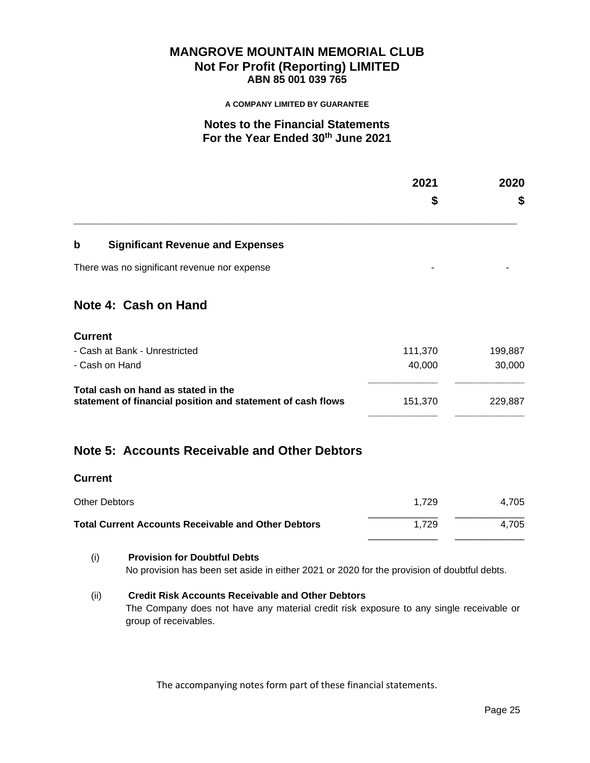#### **A COMPANY LIMITED BY GUARANTEE**

## **Notes to the Financial Statements For the Year Ended 30th June 2021**

|                                                                                                    | 2021    | 2020    |
|----------------------------------------------------------------------------------------------------|---------|---------|
|                                                                                                    | S       | \$      |
| b<br><b>Significant Revenue and Expenses</b>                                                       |         |         |
| There was no significant revenue nor expense                                                       |         |         |
| Note 4: Cash on Hand                                                                               |         |         |
| <b>Current</b>                                                                                     |         |         |
| - Cash at Bank - Unrestricted                                                                      | 111,370 | 199,887 |
| - Cash on Hand                                                                                     | 40,000  | 30,000  |
| Total cash on hand as stated in the<br>statement of financial position and statement of cash flows | 151,370 | 229,887 |
|                                                                                                    |         |         |
| Note 5: Accounts Receivable and Other Debtors                                                      |         |         |

### **Current**

| Other Debtors                                              | 1.729 | 4.705 |
|------------------------------------------------------------|-------|-------|
| <b>Total Current Accounts Receivable and Other Debtors</b> | 1.729 | 4.705 |

### (i) **Provision for Doubtful Debts**

No provision has been set aside in either 2021 or 2020 for the provision of doubtful debts.

### (ii) **Credit Risk Accounts Receivable and Other Debtors**

The Company does not have any material credit risk exposure to any single receivable or group of receivables.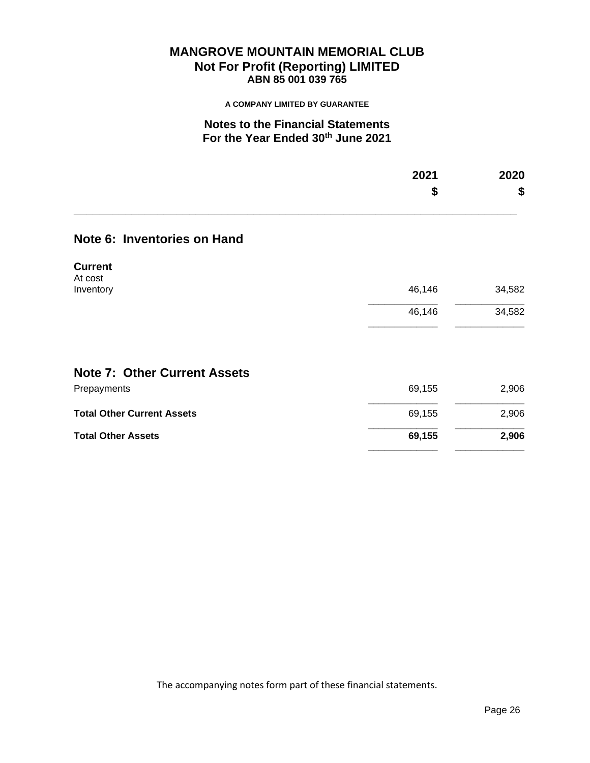#### **A COMPANY LIMITED BY GUARANTEE**

## **Notes to the Financial Statements For the Year Ended 30th June 2021**

|                                        | 2021<br>\$ | 2020<br>\$ |
|----------------------------------------|------------|------------|
| Note 6: Inventories on Hand            |            |            |
| <b>Current</b><br>At cost<br>Inventory | 46,146     | 34,582     |
|                                        | 46,146     | 34,582     |
| <b>Note 7: Other Current Assets</b>    |            |            |
| Prepayments                            | 69,155     | 2,906      |
| <b>Total Other Current Assets</b>      | 69,155     | 2,906      |
| <b>Total Other Assets</b>              | 69,155     | 2,906      |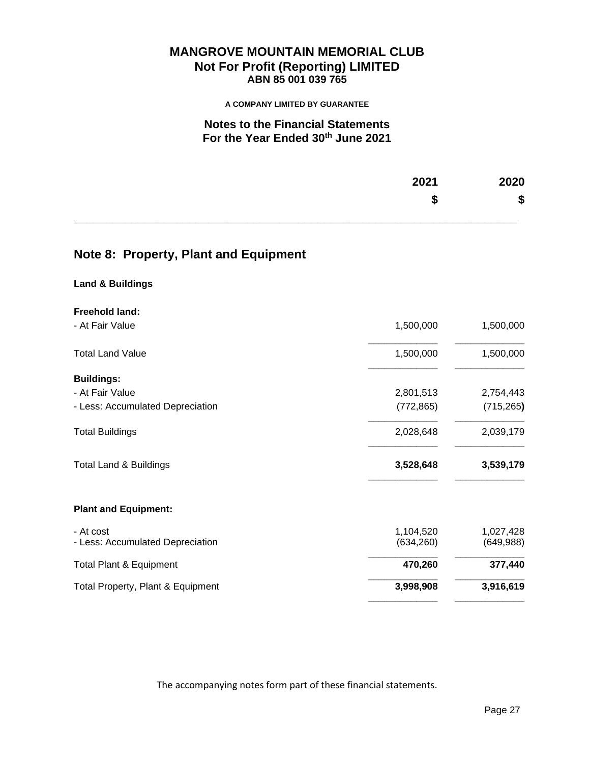#### **A COMPANY LIMITED BY GUARANTEE**

## **Notes to the Financial Statements For the Year Ended 30th June 2021**

| 2021 | 2020   |
|------|--------|
| -0   | œ<br>Ð |
|      |        |

## **Note 8: Property, Plant and Equipment**

### **Land & Buildings**

| <b>Freehold land:</b>              |            |            |
|------------------------------------|------------|------------|
| - At Fair Value                    | 1,500,000  | 1,500,000  |
| <b>Total Land Value</b>            | 1,500,000  | 1,500,000  |
| <b>Buildings:</b>                  |            |            |
| - At Fair Value                    | 2,801,513  | 2,754,443  |
| - Less: Accumulated Depreciation   | (772, 865) | (715, 265) |
| <b>Total Buildings</b>             | 2,028,648  | 2,039,179  |
| <b>Total Land &amp; Buildings</b>  | 3,528,648  | 3,539,179  |
| <b>Plant and Equipment:</b>        |            |            |
| - At cost                          | 1,104,520  | 1,027,428  |
| - Less: Accumulated Depreciation   | (634, 260) | (649, 988) |
| <b>Total Plant &amp; Equipment</b> | 470,260    | 377,440    |

| Total Property, Plant & Equipment | 3,998,908 | 3,916,619 |
|-----------------------------------|-----------|-----------|

The accompanying notes form part of these financial statements.

**\_\_\_\_\_\_\_\_\_\_\_\_\_ \_\_\_\_\_\_\_\_\_\_\_\_\_**

**\_\_\_\_\_\_\_\_\_\_\_\_\_ \_\_\_\_\_\_\_\_\_\_\_\_\_**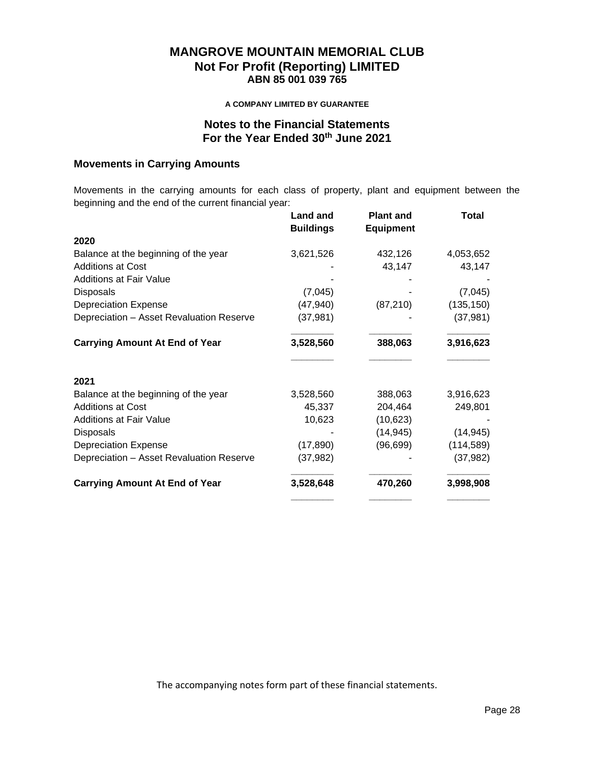#### **A COMPANY LIMITED BY GUARANTEE**

### **Notes to the Financial Statements For the Year Ended 30th June 2021**

### **Movements in Carrying Amounts**

Movements in the carrying amounts for each class of property, plant and equipment between the beginning and the end of the current financial year:

|                                          | <b>Land and</b><br><b>Buildings</b> | <b>Plant and</b><br><b>Equipment</b> | Total      |
|------------------------------------------|-------------------------------------|--------------------------------------|------------|
| 2020                                     |                                     |                                      |            |
| Balance at the beginning of the year     | 3,621,526                           | 432,126                              | 4,053,652  |
| <b>Additions at Cost</b>                 |                                     | 43,147                               | 43,147     |
| <b>Additions at Fair Value</b>           |                                     |                                      |            |
| <b>Disposals</b>                         | (7,045)                             |                                      | (7,045)    |
| <b>Depreciation Expense</b>              | (47, 940)                           | (87, 210)                            | (135, 150) |
| Depreciation - Asset Revaluation Reserve | (37, 981)                           |                                      | (37, 981)  |
| <b>Carrying Amount At End of Year</b>    | 3,528,560                           | 388,063                              | 3,916,623  |
| 2021                                     |                                     |                                      |            |
| Balance at the beginning of the year     | 3,528,560                           | 388,063                              | 3,916,623  |
| <b>Additions at Cost</b>                 | 45,337                              | 204,464                              | 249,801    |
| <b>Additions at Fair Value</b>           | 10,623                              | (10, 623)                            |            |
| <b>Disposals</b>                         |                                     | (14, 945)                            | (14, 945)  |
| Depreciation Expense                     | (17, 890)                           | (96, 699)                            | (114, 589) |
| Depreciation - Asset Revaluation Reserve | (37, 982)                           |                                      | (37, 982)  |
| <b>Carrying Amount At End of Year</b>    | 3,528,648                           | 470,260                              | 3,998,908  |
|                                          |                                     |                                      |            |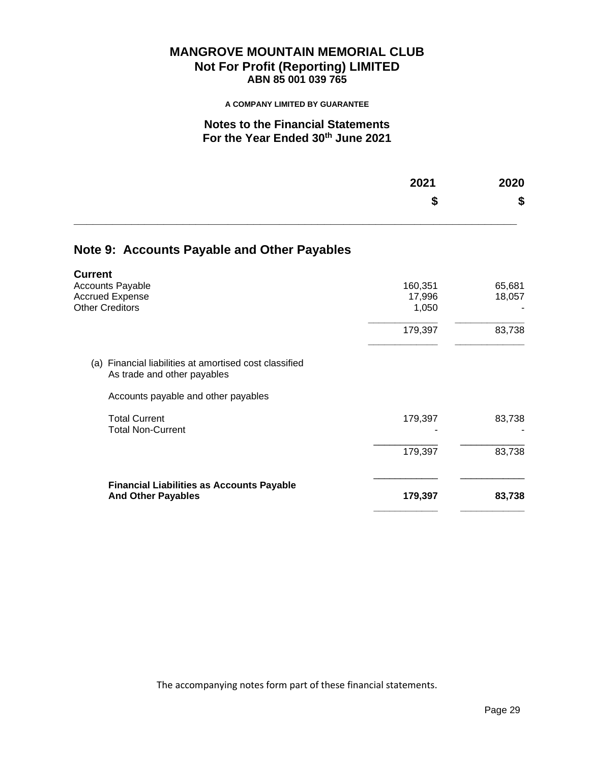#### **A COMPANY LIMITED BY GUARANTEE**

## **Notes to the Financial Statements For the Year Ended 30th June 2021**

|                                                                                       | 2021    | 2020   |
|---------------------------------------------------------------------------------------|---------|--------|
|                                                                                       | \$      | \$     |
| Note 9: Accounts Payable and Other Payables                                           |         |        |
| <b>Current</b>                                                                        |         |        |
| <b>Accounts Payable</b>                                                               | 160,351 | 65,681 |
| <b>Accrued Expense</b>                                                                | 17,996  | 18,057 |
| <b>Other Creditors</b>                                                                | 1,050   |        |
|                                                                                       | 179,397 | 83,738 |
| (a) Financial liabilities at amortised cost classified<br>As trade and other payables |         |        |
| Accounts payable and other payables                                                   |         |        |
| <b>Total Current</b>                                                                  | 179,397 | 83,738 |
| <b>Total Non-Current</b>                                                              |         |        |
|                                                                                       |         |        |
|                                                                                       | 179,397 | 83,738 |
| <b>Financial Liabilities as Accounts Payable</b>                                      |         |        |
| <b>And Other Payables</b>                                                             | 179,397 | 83,738 |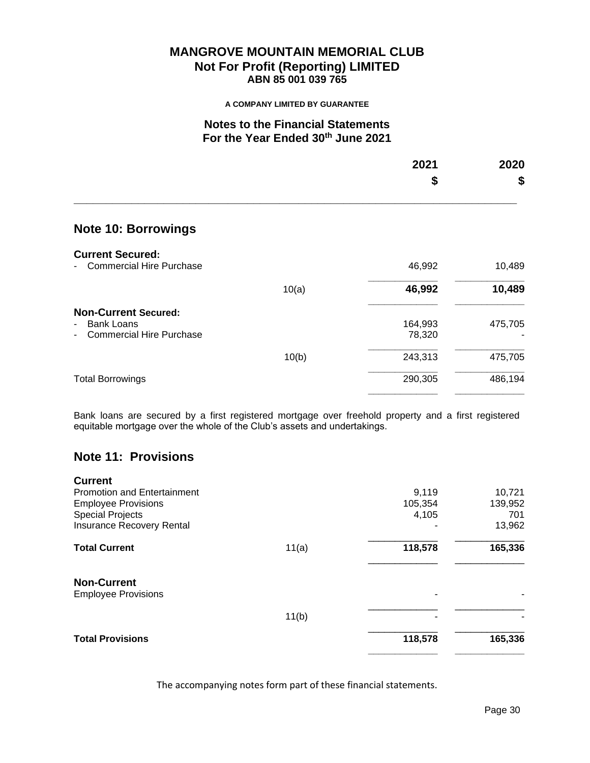#### **A COMPANY LIMITED BY GUARANTEE**

## **Notes to the Financial Statements For the Year Ended 30th June 2021**

| 2021 | 2020 |
|------|------|
|      | \$   |
|      |      |

## **Note 10: Borrowings**

| <b>Current Secured:</b><br>- Commercial Hire Purchase                                |       | 46,992            | 10,489  |
|--------------------------------------------------------------------------------------|-------|-------------------|---------|
|                                                                                      | 10(a) | 46,992            | 10,489  |
| <b>Non-Current Secured:</b><br>Bank Loans<br>$\sim$<br>Commercial Hire Purchase<br>٠ |       | 164,993<br>78,320 | 475,705 |
|                                                                                      | 10(b) | 243,313           | 475,705 |
| <b>Total Borrowings</b>                                                              |       | 290,305           | 486,194 |
|                                                                                      |       |                   |         |

Bank loans are secured by a first registered mortgage over freehold property and a first registered equitable mortgage over the whole of the Club's assets and undertakings.

## **Note 11: Provisions**

| <b>Current</b>                                   |       |         |         |
|--------------------------------------------------|-------|---------|---------|
| <b>Promotion and Entertainment</b>               |       | 9,119   | 10,721  |
| <b>Employee Provisions</b>                       |       | 105,354 | 139,952 |
| <b>Special Projects</b>                          |       | 4,105   | 701     |
| Insurance Recovery Rental                        |       |         | 13,962  |
| <b>Total Current</b>                             | 11(a) | 118,578 | 165,336 |
| <b>Non-Current</b><br><b>Employee Provisions</b> |       |         |         |
|                                                  |       |         |         |
|                                                  | 11(b) |         |         |
| <b>Total Provisions</b>                          |       | 118,578 | 165,336 |
|                                                  |       |         |         |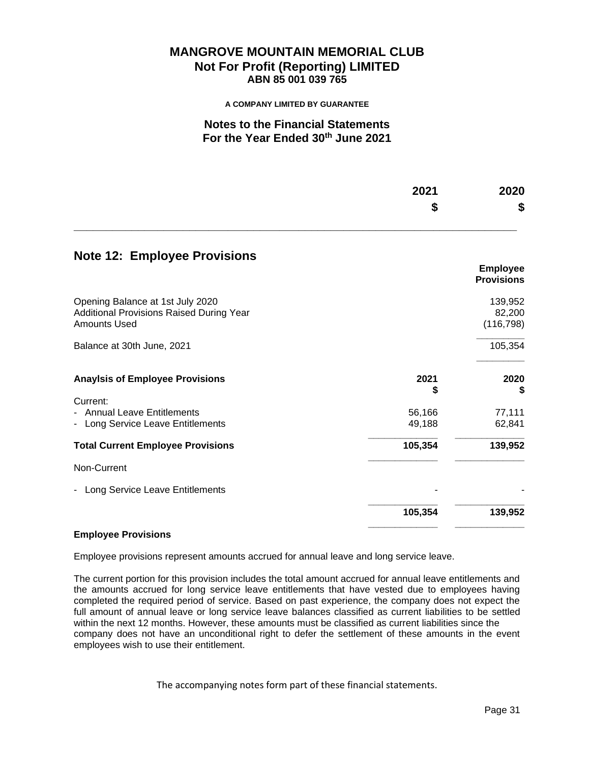#### **A COMPANY LIMITED BY GUARANTEE**

## **Notes to the Financial Statements For the Year Ended 30th June 2021**

|                                                                                                     | 2021             | 2020                                 |
|-----------------------------------------------------------------------------------------------------|------------------|--------------------------------------|
|                                                                                                     | \$               | \$                                   |
| <b>Note 12: Employee Provisions</b>                                                                 |                  |                                      |
|                                                                                                     |                  | <b>Employee</b><br><b>Provisions</b> |
| Opening Balance at 1st July 2020<br>Additional Provisions Raised During Year<br><b>Amounts Used</b> |                  | 139,952<br>82,200<br>(116, 798)      |
| Balance at 30th June, 2021                                                                          |                  | 105,354                              |
| <b>Anaylsis of Employee Provisions</b>                                                              | 2021<br>S        | 2020<br>э                            |
| Current:<br>- Annual Leave Entitlements<br>- Long Service Leave Entitlements                        | 56,166<br>49,188 | 77,111<br>62,841                     |
| <b>Total Current Employee Provisions</b>                                                            | 105,354          | 139,952                              |
| Non-Current                                                                                         |                  |                                      |
| - Long Service Leave Entitlements                                                                   |                  |                                      |
|                                                                                                     | 105,354          | 139,952                              |
| Employee Draviojane                                                                                 |                  |                                      |

#### **Employee Provisions**

Employee provisions represent amounts accrued for annual leave and long service leave.

The current portion for this provision includes the total amount accrued for annual leave entitlements and the amounts accrued for long service leave entitlements that have vested due to employees having completed the required period of service. Based on past experience, the company does not expect the full amount of annual leave or long service leave balances classified as current liabilities to be settled within the next 12 months. However, these amounts must be classified as current liabilities since the company does not have an unconditional right to defer the settlement of these amounts in the event employees wish to use their entitlement.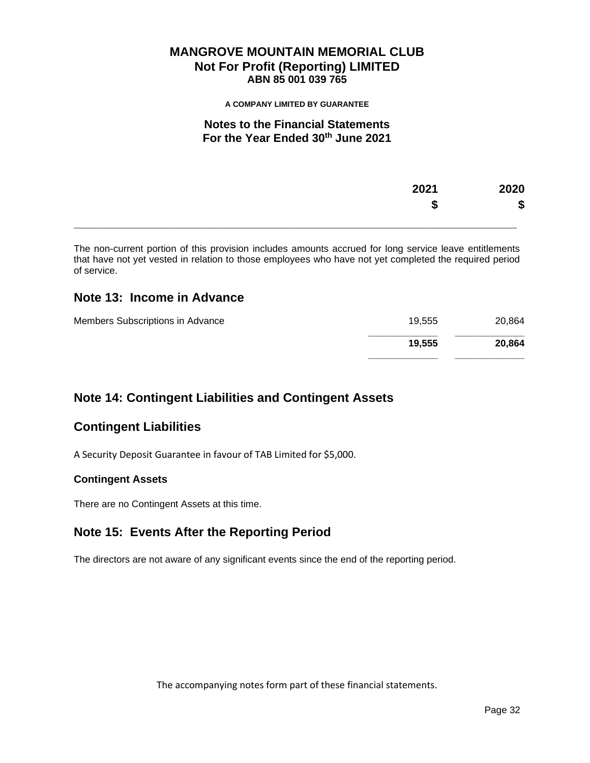**A COMPANY LIMITED BY GUARANTEE**

### **Notes to the Financial Statements For the Year Ended 30th June 2021**

| 2021 | 2020   |
|------|--------|
| w    | æ<br>Φ |
|      |        |

The non-current portion of this provision includes amounts accrued for long service leave entitlements that have not yet vested in relation to those employees who have not yet completed the required period of service.

## **Note 13: Income in Advance**

| Members Subscriptions in Advance | 19.555 | 20,864 |
|----------------------------------|--------|--------|
|                                  | 19.555 | 20,864 |

## **Note 14: Contingent Liabilities and Contingent Assets**

### **Contingent Liabilities**

A Security Deposit Guarantee in favour of TAB Limited for \$5,000.

### **Contingent Assets**

There are no Contingent Assets at this time.

## **Note 15: Events After the Reporting Period**

The directors are not aware of any significant events since the end of the reporting period.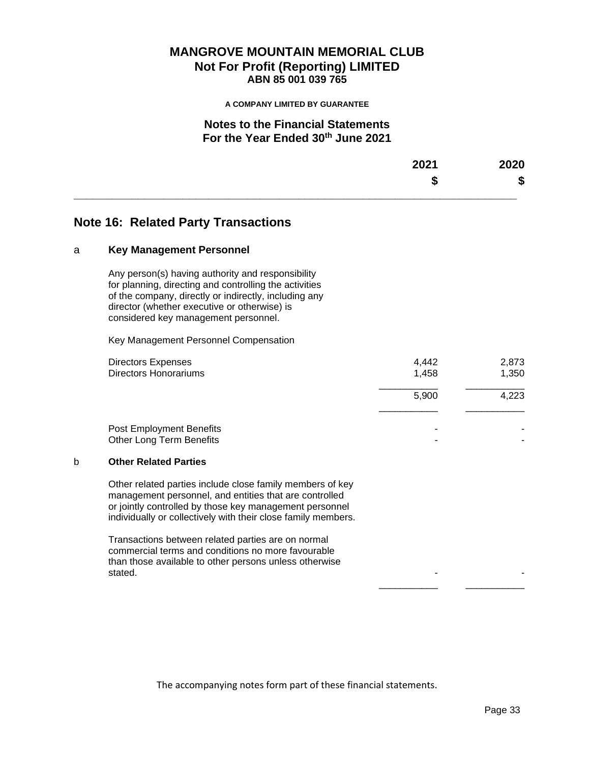#### **A COMPANY LIMITED BY GUARANTEE**

### **Notes to the Financial Statements For the Year Ended 30th June 2021**

| 2021        | 2020   |
|-------------|--------|
| . .<br>- 11 | œ<br>Ð |
|             |        |

### **Note 16: Related Party Transactions**

### a **Key Management Personnel**

Any person(s) having authority and responsibility for planning, directing and controlling the activities of the company, directly or indirectly, including any director (whether executive or otherwise) is considered key management personnel.

Key Management Personnel Compensation

| Directors Expenses<br><b>Directors Honorariums</b>   | 4.442<br>1.458 | 2,873<br>1,350 |
|------------------------------------------------------|----------------|----------------|
|                                                      | 5,900          | 4,223          |
|                                                      |                |                |
| Post Employment Benefits<br>Other Long Term Benefits | ۰<br>۰         |                |

#### b **Other Related Parties**

Other related parties include close family members of key management personnel, and entities that are controlled or jointly controlled by those key management personnel individually or collectively with their close family members.

Transactions between related parties are on normal commercial terms and conditions no more favourable than those available to other persons unless otherwise stated. - -

The accompanying notes form part of these financial statements.

\_\_\_\_\_\_\_\_\_\_\_ \_\_\_\_\_\_\_\_\_\_\_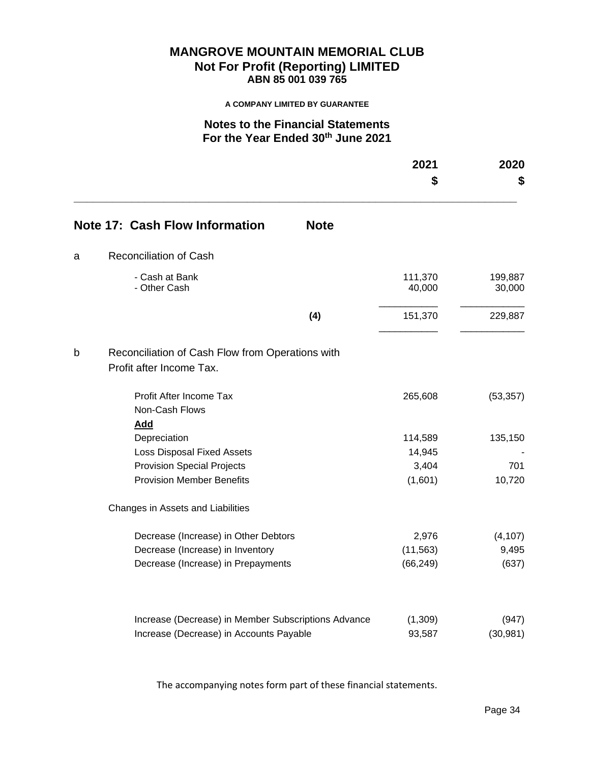#### **A COMPANY LIMITED BY GUARANTEE**

## **Notes to the Financial Statements For the Year Ended 30th June 2021**

|   |                                                                              |             | 2021<br>\$        | 2020<br>\$        |
|---|------------------------------------------------------------------------------|-------------|-------------------|-------------------|
|   |                                                                              |             |                   |                   |
|   | <b>Note 17: Cash Flow Information</b>                                        | <b>Note</b> |                   |                   |
| a | <b>Reconciliation of Cash</b>                                                |             |                   |                   |
|   | - Cash at Bank<br>- Other Cash                                               |             | 111,370<br>40,000 | 199,887<br>30,000 |
|   |                                                                              | (4)         | 151,370           | 229,887           |
| b | Reconciliation of Cash Flow from Operations with<br>Profit after Income Tax. |             |                   |                   |
|   | Profit After Income Tax<br>Non-Cash Flows<br><b>Add</b>                      |             | 265,608           | (53, 357)         |
|   | Depreciation                                                                 |             | 114,589           | 135,150           |
|   | <b>Loss Disposal Fixed Assets</b>                                            |             | 14,945            |                   |
|   | <b>Provision Special Projects</b>                                            |             | 3,404             | 701               |
|   | <b>Provision Member Benefits</b>                                             |             | (1,601)           | 10,720            |
|   | Changes in Assets and Liabilities                                            |             |                   |                   |
|   | Decrease (Increase) in Other Debtors                                         |             | 2,976             | (4, 107)          |
|   | Decrease (Increase) in Inventory                                             |             | (11, 563)         | 9,495             |
|   | Decrease (Increase) in Prepayments                                           |             | (66, 249)         | (637)             |
|   | Increase (Decrease) in Member Subscriptions Advance                          |             | (1,309)           | (947)             |
|   | Increase (Decrease) in Accounts Payable                                      |             | 93,587            | (30, 981)         |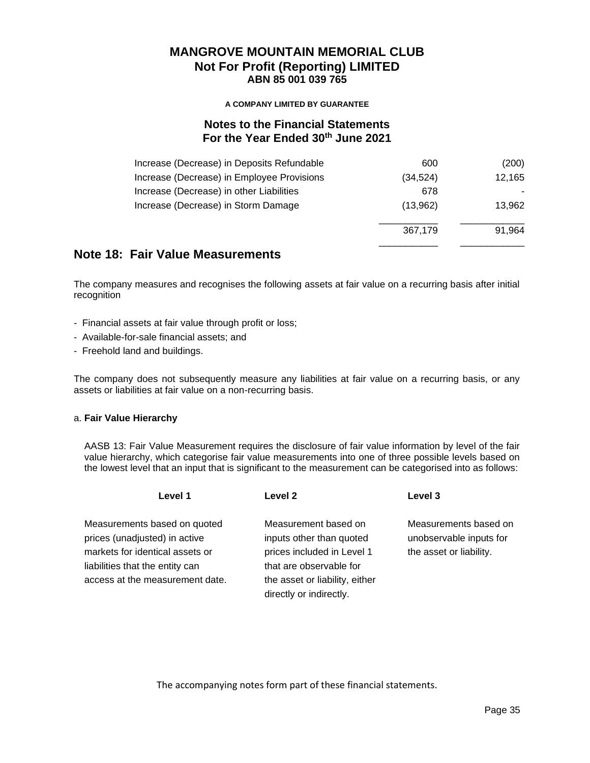**A COMPANY LIMITED BY GUARANTEE**

## **Notes to the Financial Statements For the Year Ended 30th June 2021**

|                                            | 367.179   | 91,964 |
|--------------------------------------------|-----------|--------|
| Increase (Decrease) in Storm Damage        | (13,962)  | 13,962 |
| Increase (Decrease) in other Liabilities   | 678       |        |
| Increase (Decrease) in Employee Provisions | (34, 524) | 12,165 |
| Increase (Decrease) in Deposits Refundable | 600       | (200)  |

## **Note 18: Fair Value Measurements**

The company measures and recognises the following assets at fair value on a recurring basis after initial recognition

- Financial assets at fair value through profit or loss;
- Available-for-sale financial assets; and
- Freehold land and buildings.

The company does not subsequently measure any liabilities at fair value on a recurring basis, or any assets or liabilities at fair value on a non-recurring basis.

### a. **Fair Value Hierarchy**

AASB 13: Fair Value Measurement requires the disclosure of fair value information by level of the fair value hierarchy, which categorise fair value measurements into one of three possible levels based on the lowest level that an input that is significant to the measurement can be categorised into as follows:

| Level 1                                                                                                                                                                | Level 2                                                                                                                                                                | Level 3                                                                     |
|------------------------------------------------------------------------------------------------------------------------------------------------------------------------|------------------------------------------------------------------------------------------------------------------------------------------------------------------------|-----------------------------------------------------------------------------|
| Measurements based on quoted<br>prices (unadjusted) in active<br>markets for identical assets or<br>liabilities that the entity can<br>access at the measurement date. | Measurement based on<br>inputs other than quoted<br>prices included in Level 1<br>that are observable for<br>the asset or liability, either<br>directly or indirectly. | Measurements based on<br>unobservable inputs for<br>the asset or liability. |
|                                                                                                                                                                        |                                                                                                                                                                        |                                                                             |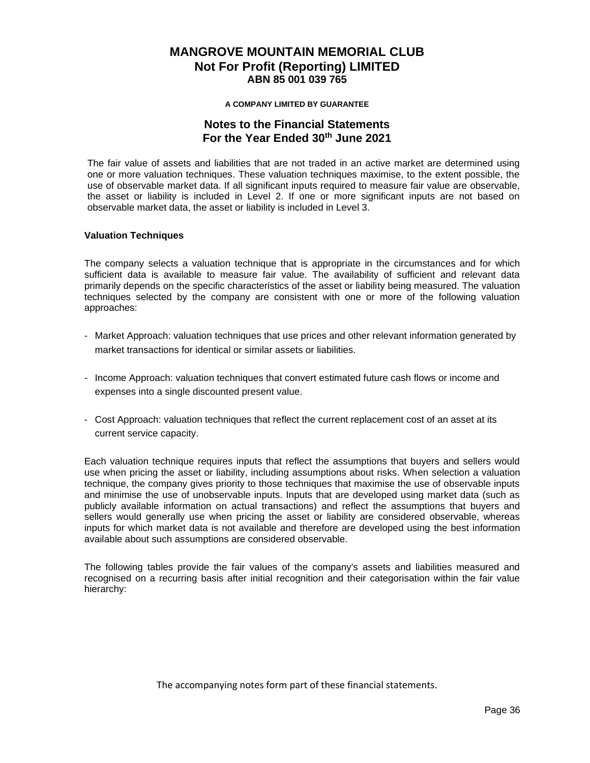#### **A COMPANY LIMITED BY GUARANTEE**

### **Notes to the Financial Statements For the Year Ended 30th June 2021**

The fair value of assets and liabilities that are not traded in an active market are determined using one or more valuation techniques. These valuation techniques maximise, to the extent possible, the use of observable market data. If all significant inputs required to measure fair value are observable, the asset or liability is included in Level 2. If one or more significant inputs are not based on observable market data, the asset or liability is included in Level 3.

#### **Valuation Techniques**

The company selects a valuation technique that is appropriate in the circumstances and for which sufficient data is available to measure fair value. The availability of sufficient and relevant data primarily depends on the specific characteristics of the asset or liability being measured. The valuation techniques selected by the company are consistent with one or more of the following valuation approaches:

- Market Approach: valuation techniques that use prices and other relevant information generated by market transactions for identical or similar assets or liabilities.
- Income Approach: valuation techniques that convert estimated future cash flows or income and expenses into a single discounted present value.
- Cost Approach: valuation techniques that reflect the current replacement cost of an asset at its current service capacity.

Each valuation technique requires inputs that reflect the assumptions that buyers and sellers would use when pricing the asset or liability, including assumptions about risks. When selection a valuation technique, the company gives priority to those techniques that maximise the use of observable inputs and minimise the use of unobservable inputs. Inputs that are developed using market data (such as publicly available information on actual transactions) and reflect the assumptions that buyers and sellers would generally use when pricing the asset or liability are considered observable, whereas inputs for which market data is not available and therefore are developed using the best information available about such assumptions are considered observable.

The following tables provide the fair values of the company's assets and liabilities measured and recognised on a recurring basis after initial recognition and their categorisation within the fair value hierarchy: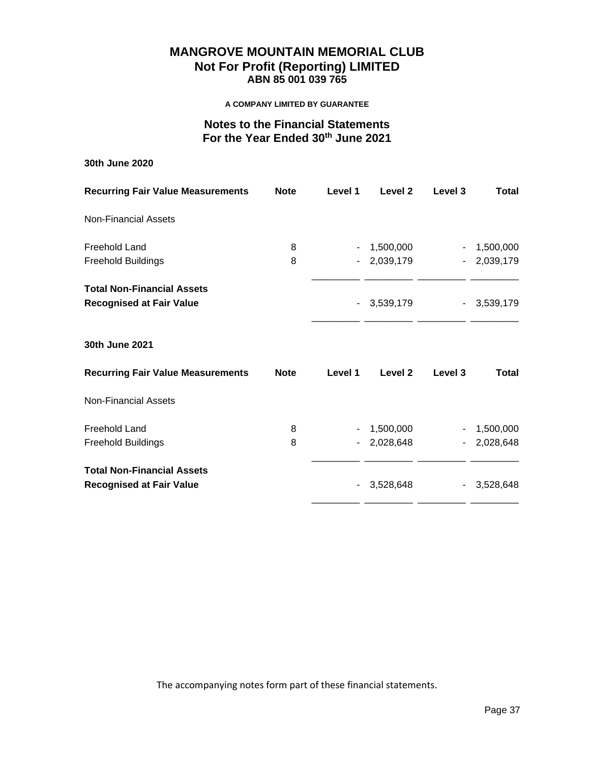**A COMPANY LIMITED BY GUARANTEE**

## **Notes to the Financial Statements For the Year Ended 30th June 2021**

| 30th June 2020                           |             |                |           |         |              |
|------------------------------------------|-------------|----------------|-----------|---------|--------------|
| <b>Recurring Fair Value Measurements</b> | <b>Note</b> | Level 1        | Level 2   | Level 3 | Total        |
| <b>Non-Financial Assets</b>              |             |                |           |         |              |
| Freehold Land                            | 8           | $\blacksquare$ | 1,500,000 |         | $-1,500,000$ |
| <b>Freehold Buildings</b>                | 8           | $\sim$         | 2,039,179 |         | $-2,039,179$ |
| <b>Total Non-Financial Assets</b>        |             |                |           |         |              |
| <b>Recognised at Fair Value</b>          |             | $\sim$         | 3,539,179 |         | $-3,539,179$ |
| 30th June 2021                           |             |                |           |         |              |
| <b>Recurring Fair Value Measurements</b> | <b>Note</b> | Level 1        | Level 2   | Level 3 | <b>Total</b> |
| <b>Non-Financial Assets</b>              |             |                |           |         |              |
| <b>Freehold Land</b>                     | 8           |                | 1,500,000 |         | $-1,500,000$ |
| <b>Freehold Buildings</b>                | 8           | $\blacksquare$ | 2,028,648 |         | $-2,028,648$ |
| <b>Total Non-Financial Assets</b>        |             |                |           |         |              |
| <b>Recognised at Fair Value</b>          |             |                | 3,528,648 |         | 3,528,648    |
|                                          |             |                |           |         |              |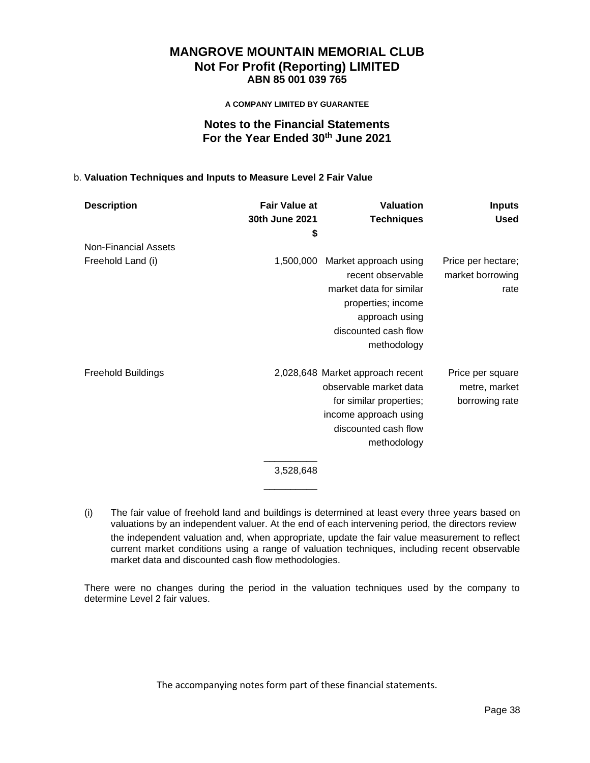**A COMPANY LIMITED BY GUARANTEE**

### **Notes to the Financial Statements For the Year Ended 30th June 2021**

### b. **Valuation Techniques and Inputs to Measure Level 2 Fair Value**

| <b>Fair Value at</b> | <b>Valuation</b>                                                                                                                                     | <b>Inputs</b>                                       |
|----------------------|------------------------------------------------------------------------------------------------------------------------------------------------------|-----------------------------------------------------|
| 30th June 2021       | <b>Techniques</b>                                                                                                                                    | <b>Used</b>                                         |
| \$                   |                                                                                                                                                      |                                                     |
|                      |                                                                                                                                                      |                                                     |
|                      | Market approach using<br>recent observable<br>market data for similar<br>properties; income<br>approach using<br>discounted cash flow<br>methodology | Price per hectare;<br>market borrowing<br>rate      |
| 3,528,648            | observable market data<br>for similar properties;<br>income approach using<br>discounted cash flow<br>methodology                                    | Price per square<br>metre, market<br>borrowing rate |
|                      |                                                                                                                                                      | 1,500,000<br>2,028,648 Market approach recent       |

(i) The fair value of freehold land and buildings is determined at least every three years based on valuations by an independent valuer. At the end of each intervening period, the directors review the independent valuation and, when appropriate, update the fair value measurement to reflect current market conditions using a range of valuation techniques, including recent observable market data and discounted cash flow methodologies.

There were no changes during the period in the valuation techniques used by the company to determine Level 2 fair values.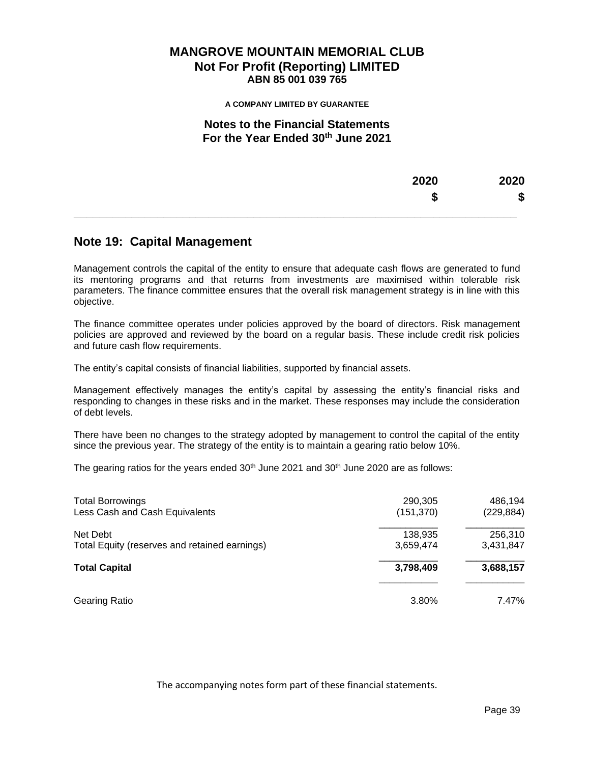**A COMPANY LIMITED BY GUARANTEE**

### **Notes to the Financial Statements For the Year Ended 30th June 2021**

| 2020 | 2020   |
|------|--------|
| ۰D   | æ<br>D |
|      |        |

### **Note 19: Capital Management**

Management controls the capital of the entity to ensure that adequate cash flows are generated to fund its mentoring programs and that returns from investments are maximised within tolerable risk parameters. The finance committee ensures that the overall risk management strategy is in line with this objective.

The finance committee operates under policies approved by the board of directors. Risk management policies are approved and reviewed by the board on a regular basis. These include credit risk policies and future cash flow requirements.

The entity's capital consists of financial liabilities, supported by financial assets.

Management effectively manages the entity's capital by assessing the entity's financial risks and responding to changes in these risks and in the market. These responses may include the consideration of debt levels.

There have been no changes to the strategy adopted by management to control the capital of the entity since the previous year. The strategy of the entity is to maintain a gearing ratio below 10%.

The gearing ratios for the years ended  $30<sup>th</sup>$  June  $2021$  and  $30<sup>th</sup>$  June 2020 are as follows:

| <b>Total Borrowings</b>                       | 290,305    | 486,194    |
|-----------------------------------------------|------------|------------|
| Less Cash and Cash Equivalents                | (151, 370) | (229, 884) |
| Net Debt                                      | 138,935    | 256,310    |
| Total Equity (reserves and retained earnings) | 3,659,474  | 3,431,847  |
| <b>Total Capital</b>                          | 3,798,409  | 3,688,157  |
| <b>Gearing Ratio</b>                          | 3.80%      | 7.47%      |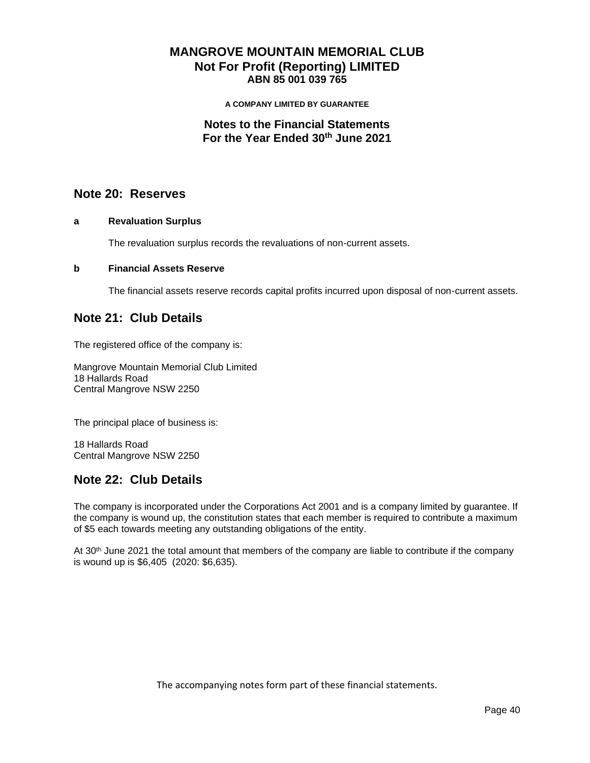**A COMPANY LIMITED BY GUARANTEE**

### **Notes to the Financial Statements For the Year Ended 30th June 2021**

## **Note 20: Reserves**

### **a Revaluation Surplus**

The revaluation surplus records the revaluations of non-current assets.

### **b Financial Assets Reserve**

The financial assets reserve records capital profits incurred upon disposal of non-current assets.

## **Note 21: Club Details**

The registered office of the company is:

Mangrove Mountain Memorial Club Limited 18 Hallards Road Central Mangrove NSW 2250

The principal place of business is:

18 Hallards Road Central Mangrove NSW 2250

### **Note 22: Club Details**

The company is incorporated under the Corporations Act 2001 and is a company limited by guarantee. If the company is wound up, the constitution states that each member is required to contribute a maximum of \$5 each towards meeting any outstanding obligations of the entity.

At 30<sup>th</sup> June 2021 the total amount that members of the company are liable to contribute if the company is wound up is \$6,405 (2020: \$6,635).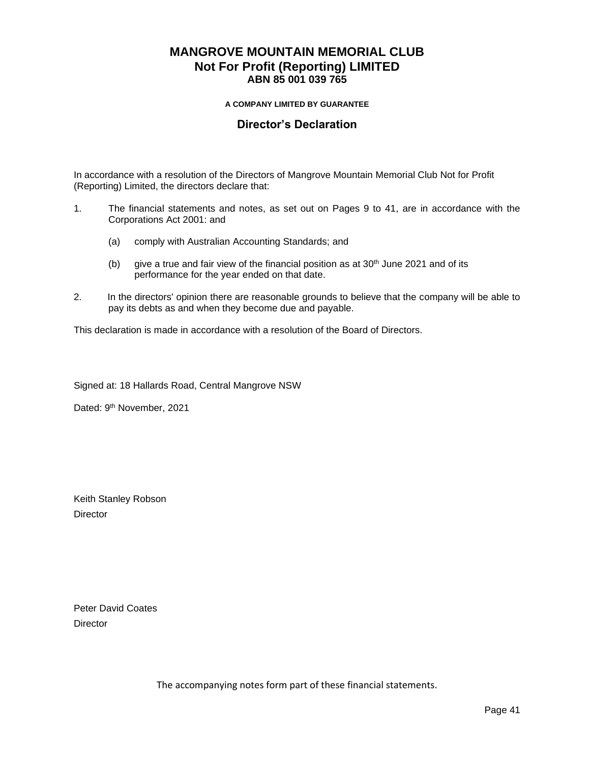#### **A COMPANY LIMITED BY GUARANTEE**

### **Director's Declaration**

In accordance with a resolution of the Directors of Mangrove Mountain Memorial Club Not for Profit (Reporting) Limited, the directors declare that:

- 1. The financial statements and notes, as set out on Pages 9 to 41, are in accordance with the Corporations Act 2001: and
	- (a) comply with Australian Accounting Standards; and
	- (b) give a true and fair view of the financial position as at  $30<sup>th</sup>$  June 2021 and of its performance for the year ended on that date.
- 2. In the directors' opinion there are reasonable grounds to believe that the company will be able to pay its debts as and when they become due and payable.

This declaration is made in accordance with a resolution of the Board of Directors.

Signed at: 18 Hallards Road, Central Mangrove NSW

Dated: 9<sup>th</sup> November, 2021

Keith Stanley Robson **Director** 

Peter David Coates **Director**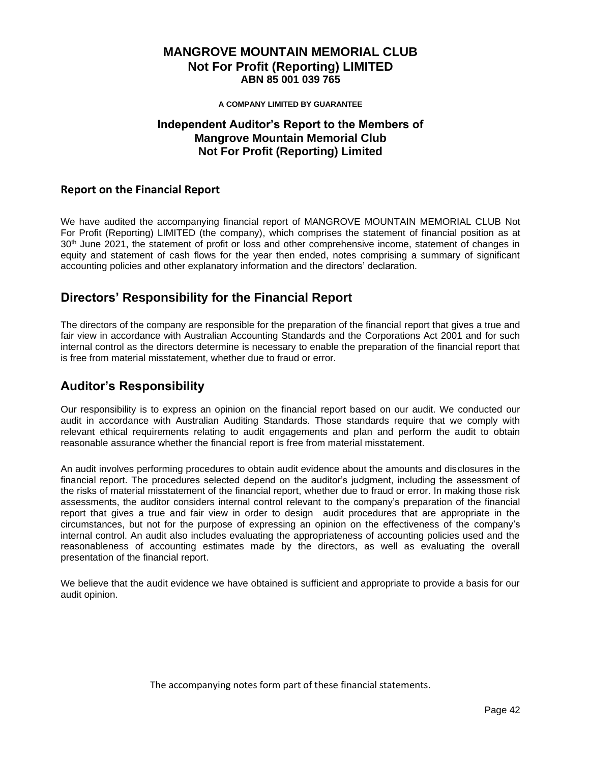**A COMPANY LIMITED BY GUARANTEE**

### **Independent Auditor's Report to the Members of Mangrove Mountain Memorial Club Not For Profit (Reporting) Limited**

### **Report on the Financial Report**

We have audited the accompanying financial report of MANGROVE MOUNTAIN MEMORIAL CLUB Not For Profit (Reporting) LIMITED (the company), which comprises the statement of financial position as at 30<sup>th</sup> June 2021, the statement of profit or loss and other comprehensive income, statement of changes in equity and statement of cash flows for the year then ended, notes comprising a summary of significant accounting policies and other explanatory information and the directors' declaration.

## **Directors' Responsibility for the Financial Report**

The directors of the company are responsible for the preparation of the financial report that gives a true and fair view in accordance with Australian Accounting Standards and the Corporations Act 2001 and for such internal control as the directors determine is necessary to enable the preparation of the financial report that is free from material misstatement, whether due to fraud or error.

## **Auditor's Responsibility**

Our responsibility is to express an opinion on the financial report based on our audit. We conducted our audit in accordance with Australian Auditing Standards. Those standards require that we comply with relevant ethical requirements relating to audit engagements and plan and perform the audit to obtain reasonable assurance whether the financial report is free from material misstatement.

An audit involves performing procedures to obtain audit evidence about the amounts and disclosures in the financial report. The procedures selected depend on the auditor's judgment, including the assessment of the risks of material misstatement of the financial report, whether due to fraud or error. In making those risk assessments, the auditor considers internal control relevant to the company's preparation of the financial report that gives a true and fair view in order to design audit procedures that are appropriate in the circumstances, but not for the purpose of expressing an opinion on the effectiveness of the company's internal control. An audit also includes evaluating the appropriateness of accounting policies used and the reasonableness of accounting estimates made by the directors, as well as evaluating the overall presentation of the financial report.

We believe that the audit evidence we have obtained is sufficient and appropriate to provide a basis for our audit opinion.